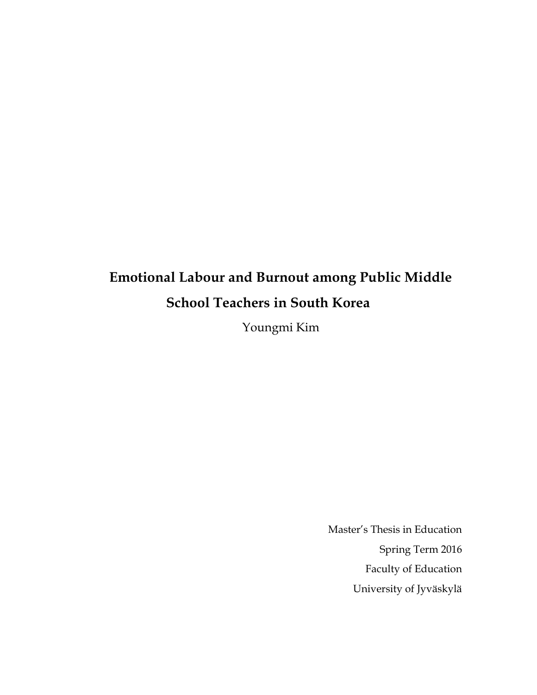# **Emotional Labour and Burnout among Public Middle School Teachers in South Korea**

Youngmi Kim

Master's Thesis in Education Spring Term 2016 Faculty of Education University of Jyväskylä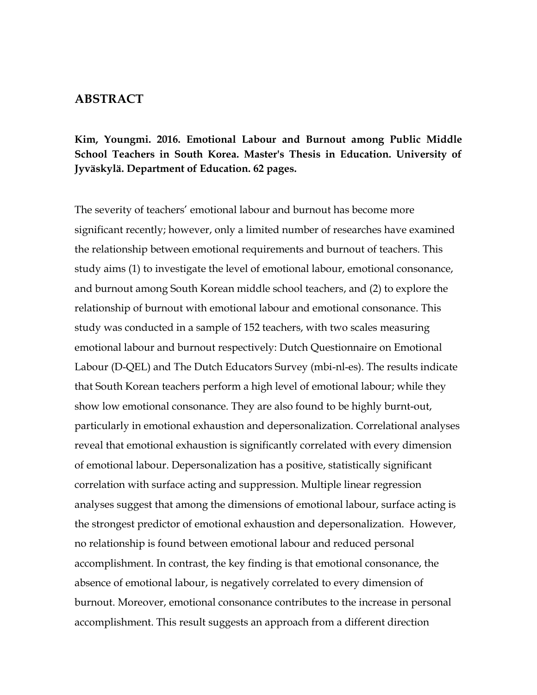#### **ABSTRACT**

### **Kim, Youngmi. 2016. Emotional Labour and Burnout among Public Middle School Teachers in South Korea. Master's Thesis in Education. University of Jyväskylä. Department of Education. 62 pages.**

The severity of teachers' emotional labour and burnout has become more significant recently; however, only a limited number of researches have examined the relationship between emotional requirements and burnout of teachers. This study aims (1) to investigate the level of emotional labour, emotional consonance, and burnout among South Korean middle school teachers, and (2) to explore the relationship of burnout with emotional labour and emotional consonance. This study was conducted in a sample of 152 teachers, with two scales measuring emotional labour and burnout respectively: Dutch Questionnaire on Emotional Labour (D-QEL) and The Dutch Educators Survey (mbi-nl-es). The results indicate that South Korean teachers perform a high level of emotional labour; while they show low emotional consonance. They are also found to be highly burnt-out, particularly in emotional exhaustion and depersonalization. Correlational analyses reveal that emotional exhaustion is significantly correlated with every dimension of emotional labour. Depersonalization has a positive, statistically significant correlation with surface acting and suppression. Multiple linear regression analyses suggest that among the dimensions of emotional labour, surface acting is the strongest predictor of emotional exhaustion and depersonalization. However, no relationship is found between emotional labour and reduced personal accomplishment. In contrast, the key finding is that emotional consonance, the absence of emotional labour, is negatively correlated to every dimension of burnout. Moreover, emotional consonance contributes to the increase in personal accomplishment. This result suggests an approach from a different direction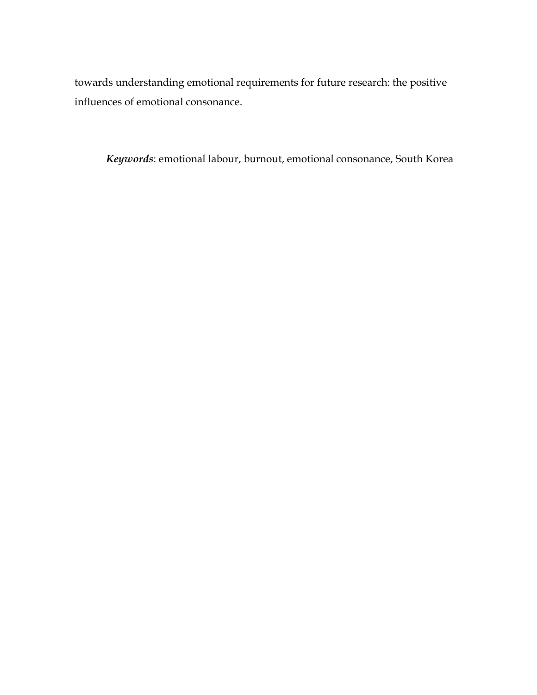towards understanding emotional requirements for future research: the positive influences of emotional consonance.

*Keywords*: emotional labour, burnout, emotional consonance, South Korea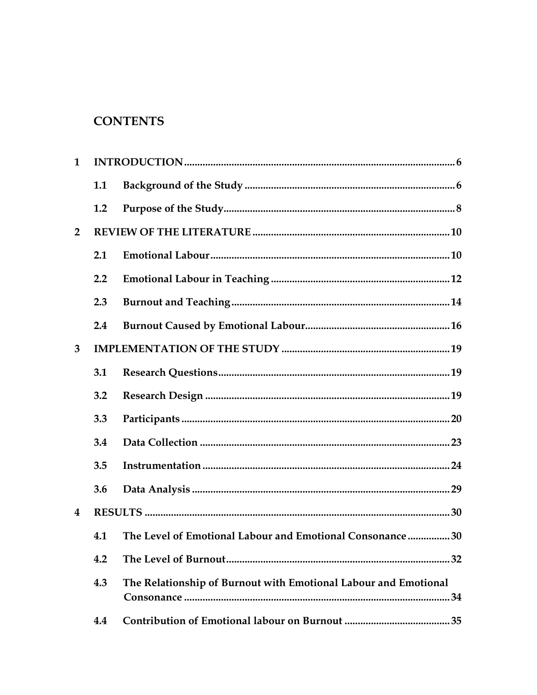# **CONTENTS**

| 1              |     |                                                                 |
|----------------|-----|-----------------------------------------------------------------|
|                | 1.1 |                                                                 |
|                | 1.2 |                                                                 |
| $\overline{2}$ |     |                                                                 |
|                | 2.1 |                                                                 |
|                | 2.2 |                                                                 |
|                | 2.3 |                                                                 |
|                | 2.4 |                                                                 |
| 3              |     |                                                                 |
|                | 3.1 |                                                                 |
|                | 3.2 |                                                                 |
|                | 3.3 |                                                                 |
|                | 3.4 |                                                                 |
|                | 3.5 |                                                                 |
|                | 3.6 |                                                                 |
| 4              |     |                                                                 |
|                | 4.1 | The Level of Emotional Labour and Emotional Consonance30        |
|                | 4.2 |                                                                 |
|                | 4.3 | The Relationship of Burnout with Emotional Labour and Emotional |
|                | 4.4 |                                                                 |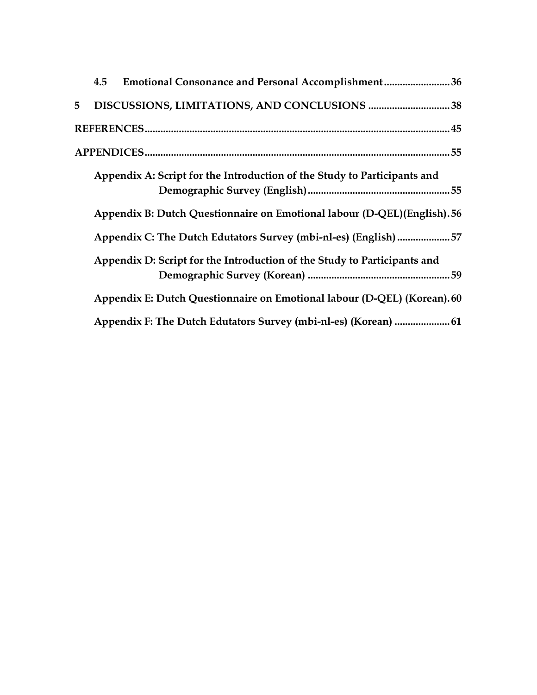| 4.5 | <b>Emotional Consonance and Personal Accomplishment36</b>                |  |
|-----|--------------------------------------------------------------------------|--|
|     |                                                                          |  |
|     |                                                                          |  |
|     |                                                                          |  |
|     | Appendix A: Script for the Introduction of the Study to Participants and |  |
|     | Appendix B: Dutch Questionnaire on Emotional labour (D-QEL)(English). 56 |  |
|     | Appendix C: The Dutch Edutators Survey (mbi-nl-es) (English) 57          |  |
|     | Appendix D: Script for the Introduction of the Study to Participants and |  |
|     | Appendix E: Dutch Questionnaire on Emotional labour (D-QEL) (Korean). 60 |  |
|     | Appendix F: The Dutch Edutators Survey (mbi-nl-es) (Korean)  61          |  |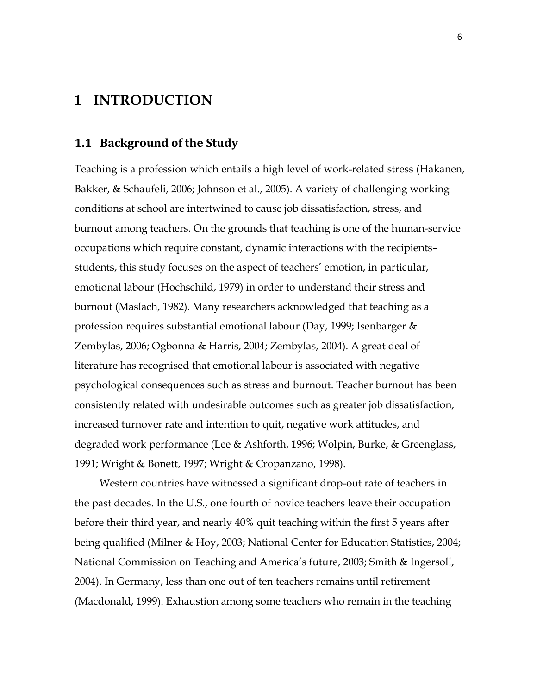# <span id="page-5-0"></span>**1 INTRODUCTION**

#### **1.1 Background of the Study**

Teaching is a profession which entails a high level of work-related stress (Hakanen, Bakker, & Schaufeli, 2006; Johnson et al., 2005). A variety of challenging working conditions at school are intertwined to cause job dissatisfaction, stress, and burnout among teachers. On the grounds that teaching is one of the human-service occupations which require constant, dynamic interactions with the recipients– students, this study focuses on the aspect of teachers' emotion, in particular, emotional labour (Hochschild, 1979) in order to understand their stress and burnout (Maslach, 1982). Many researchers acknowledged that teaching as a profession requires substantial emotional labour (Day, 1999; Isenbarger & Zembylas, 2006; Ogbonna & Harris, 2004; Zembylas, 2004). A great deal of literature has recognised that emotional labour is associated with negative psychological consequences such as stress and burnout. Teacher burnout has been consistently related with undesirable outcomes such as greater job dissatisfaction, increased turnover rate and intention to quit, negative work attitudes, and degraded work performance (Lee & Ashforth, 1996; Wolpin, Burke, & Greenglass, 1991; Wright & Bonett, 1997; Wright & Cropanzano, 1998).

Western countries have witnessed a significant drop-out rate of teachers in the past decades. In the U.S., one fourth of novice teachers leave their occupation before their third year, and nearly 40% quit teaching within the first 5 years after being qualified (Milner & Hoy, 2003; National Center for Education Statistics, 2004; National Commission on Teaching and America's future, 2003; Smith & Ingersoll, 2004). In Germany, less than one out of ten teachers remains until retirement (Macdonald, 1999). Exhaustion among some teachers who remain in the teaching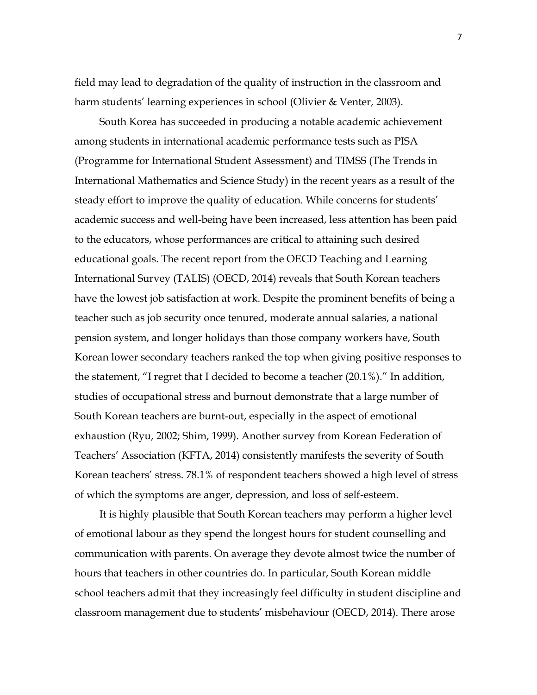field may lead to degradation of the quality of instruction in the classroom and harm students' learning experiences in school (Olivier & Venter, 2003).

South Korea has succeeded in producing a notable academic achievement among students in international academic performance tests such as PISA (Programme for International Student Assessment) and TIMSS (The Trends in International Mathematics and Science Study) in the recent years as a result of the steady effort to improve the quality of education. While concerns for students' academic success and well-being have been increased, less attention has been paid to the educators, whose performances are critical to attaining such desired educational goals. The recent report from the OECD Teaching and Learning International Survey (TALIS) (OECD, 2014) reveals that South Korean teachers have the lowest job satisfaction at work. Despite the prominent benefits of being a teacher such as job security once tenured, moderate annual salaries, a national pension system, and longer holidays than those company workers have, South Korean lower secondary teachers ranked the top when giving positive responses to the statement, "I regret that I decided to become a teacher (20.1%)." In addition, studies of occupational stress and burnout demonstrate that a large number of South Korean teachers are burnt-out, especially in the aspect of emotional exhaustion (Ryu, 2002; Shim, 1999). Another survey from Korean Federation of Teachers' Association (KFTA, 2014) consistently manifests the severity of South Korean teachers' stress. 78.1% of respondent teachers showed a high level of stress of which the symptoms are anger, depression, and loss of self-esteem.

It is highly plausible that South Korean teachers may perform a higher level of emotional labour as they spend the longest hours for student counselling and communication with parents. On average they devote almost twice the number of hours that teachers in other countries do. In particular, South Korean middle school teachers admit that they increasingly feel difficulty in student discipline and classroom management due to students' misbehaviour (OECD, 2014). There arose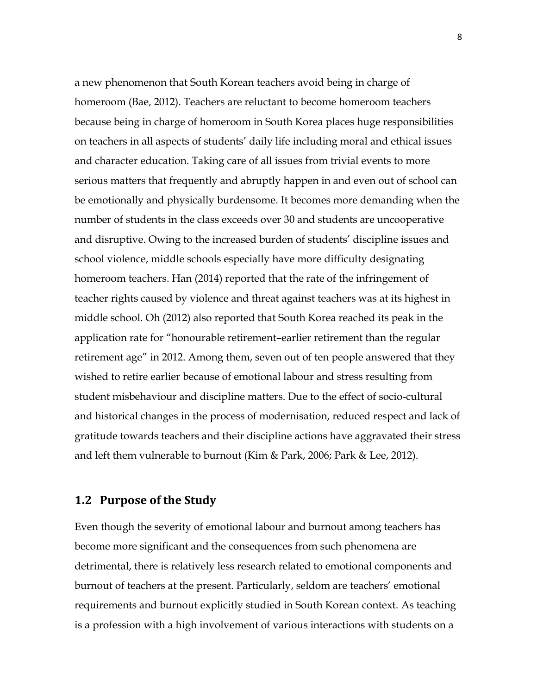a new phenomenon that South Korean teachers avoid being in charge of homeroom (Bae, 2012). Teachers are reluctant to become homeroom teachers because being in charge of homeroom in South Korea places huge responsibilities on teachers in all aspects of students' daily life including moral and ethical issues and character education. Taking care of all issues from trivial events to more serious matters that frequently and abruptly happen in and even out of school can be emotionally and physically burdensome. It becomes more demanding when the number of students in the class exceeds over 30 and students are uncooperative and disruptive. Owing to the increased burden of students' discipline issues and school violence, middle schools especially have more difficulty designating homeroom teachers. Han (2014) reported that the rate of the infringement of teacher rights caused by violence and threat against teachers was at its highest in middle school. Oh (2012) also reported that South Korea reached its peak in the application rate for "honourable retirement–earlier retirement than the regular retirement age" in 2012. Among them, seven out of ten people answered that they wished to retire earlier because of emotional labour and stress resulting from student misbehaviour and discipline matters. Due to the effect of socio-cultural and historical changes in the process of modernisation, reduced respect and lack of gratitude towards teachers and their discipline actions have aggravated their stress and left them vulnerable to burnout (Kim & Park, 2006; Park & Lee, 2012).

#### **1.2 Purpose of the Study**

Even though the severity of emotional labour and burnout among teachers has become more significant and the consequences from such phenomena are detrimental, there is relatively less research related to emotional components and burnout of teachers at the present. Particularly, seldom are teachers' emotional requirements and burnout explicitly studied in South Korean context. As teaching is a profession with a high involvement of various interactions with students on a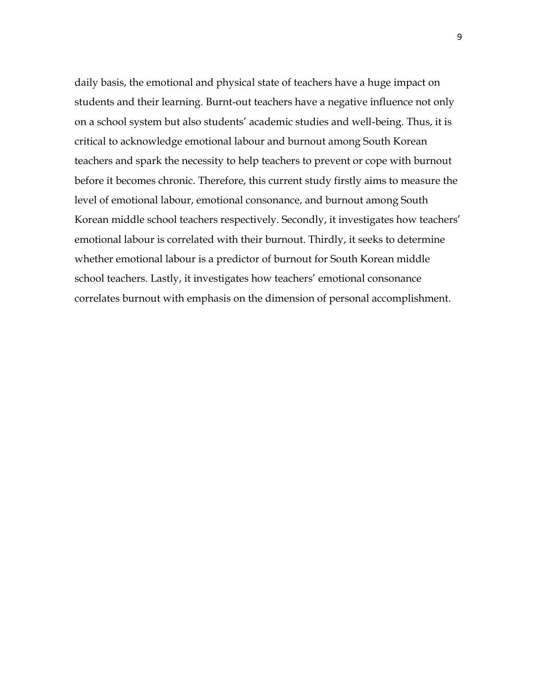daily basis, the emotional and physical state of teachers have a huge impact on students and their learning. Burnt-out teachers have a negative influence not only on a school system but also students' academic studies and well-being. Thus, it is critical to acknowledge emotional labour and burnout among South Korean teachers and spark the necessity to help teachers to prevent or cope with burnout before it becomes chronic. Therefore, this current study firstly aims to measure the level of emotional labour, emotional consonance, and burnout among South Korean middle school teachers respectively. Secondly, it investigates how teachers' emotional labour is correlated with their burnout. Thirdly, it seeks to determine whether emotional labour is a predictor of burnout for South Korean middle school teachers. Lastly, it investigates how teachers' emotional consonance correlates burnout with emphasis on the dimension of personal accomplishment.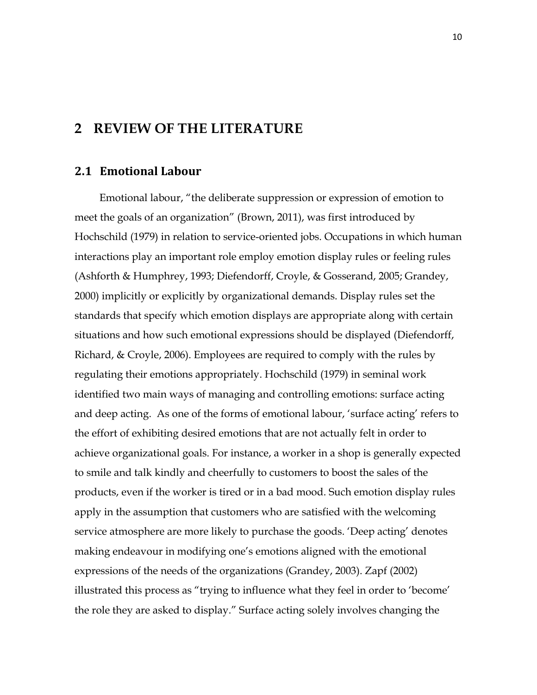### **2 REVIEW OF THE LITERATURE**

#### **2.1 Emotional Labour**

Emotional labour, "the deliberate suppression or expression of emotion to meet the goals of an organization" (Brown, 2011), was first introduced by Hochschild (1979) in relation to service-oriented jobs. Occupations in which human interactions play an important role employ emotion display rules or feeling rules (Ashforth & Humphrey, 1993; Diefendorff, Croyle, & Gosserand, 2005; Grandey, 2000) implicitly or explicitly by organizational demands. Display rules set the standards that specify which emotion displays are appropriate along with certain situations and how such emotional expressions should be displayed (Diefendorff, Richard, & Croyle, 2006). Employees are required to comply with the rules by regulating their emotions appropriately. Hochschild (1979) in seminal work identified two main ways of managing and controlling emotions: surface acting and deep acting. As one of the forms of emotional labour, 'surface acting' refers to the effort of exhibiting desired emotions that are not actually felt in order to achieve organizational goals. For instance, a worker in a shop is generally expected to smile and talk kindly and cheerfully to customers to boost the sales of the products, even if the worker is tired or in a bad mood. Such emotion display rules apply in the assumption that customers who are satisfied with the welcoming service atmosphere are more likely to purchase the goods. 'Deep acting' denotes making endeavour in modifying one's emotions aligned with the emotional expressions of the needs of the organizations (Grandey, 2003). Zapf (2002) illustrated this process as "trying to influence what they feel in order to 'become' the role they are asked to display." Surface acting solely involves changing the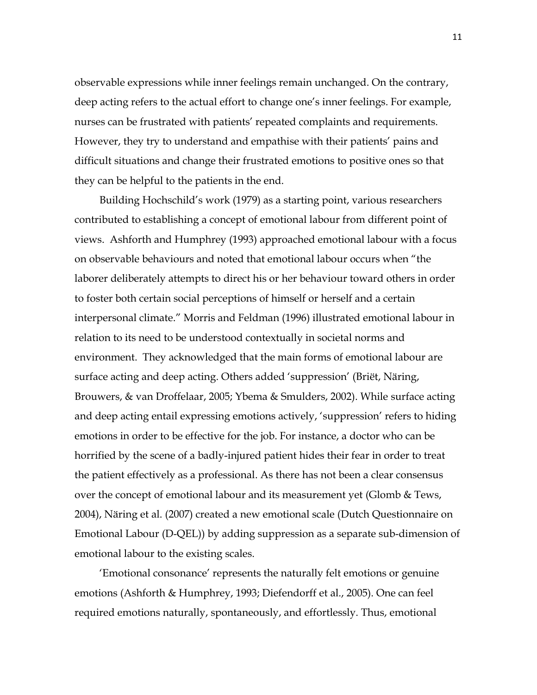observable expressions while inner feelings remain unchanged. On the contrary, deep acting refers to the actual effort to change one's inner feelings. For example, nurses can be frustrated with patients' repeated complaints and requirements. However, they try to understand and empathise with their patients' pains and difficult situations and change their frustrated emotions to positive ones so that they can be helpful to the patients in the end.

Building Hochschild's work (1979) as a starting point, various researchers contributed to establishing a concept of emotional labour from different point of views. Ashforth and Humphrey (1993) approached emotional labour with a focus on observable behaviours and noted that emotional labour occurs when "the laborer deliberately attempts to direct his or her behaviour toward others in order to foster both certain social perceptions of himself or herself and a certain interpersonal climate." Morris and Feldman (1996) illustrated emotional labour in relation to its need to be understood contextually in societal norms and environment. They acknowledged that the main forms of emotional labour are surface acting and deep acting. Others added 'suppression' (Briët, Näring, Brouwers, & van Droffelaar, 2005; Ybema & Smulders, 2002). While surface acting and deep acting entail expressing emotions actively, 'suppression' refers to hiding emotions in order to be effective for the job. For instance, a doctor who can be horrified by the scene of a badly-injured patient hides their fear in order to treat the patient effectively as a professional. As there has not been a clear consensus over the concept of emotional labour and its measurement yet (Glomb & Tews, 2004), Näring et al. (2007) created a new emotional scale (Dutch Questionnaire on Emotional Labour (D-QEL)) by adding suppression as a separate sub-dimension of emotional labour to the existing scales.

'Emotional consonance' represents the naturally felt emotions or genuine emotions (Ashforth & Humphrey, 1993; Diefendorff et al., 2005). One can feel required emotions naturally, spontaneously, and effortlessly. Thus, emotional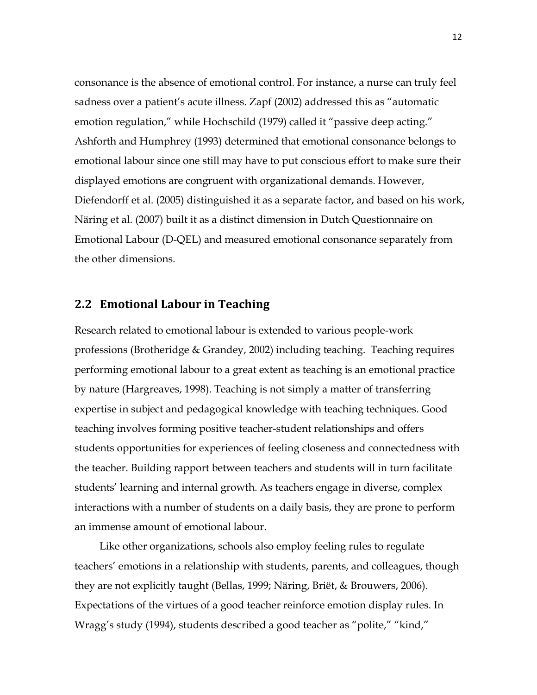consonance is the absence of emotional control. For instance, a nurse can truly feel sadness over a patient's acute illness. Zapf (2002) addressed this as "automatic emotion regulation," while Hochschild (1979) called it "passive deep acting." Ashforth and Humphrey (1993) determined that emotional consonance belongs to emotional labour since one still may have to put conscious effort to make sure their displayed emotions are congruent with organizational demands. However, Diefendorff et al. (2005) distinguished it as a separate factor, and based on his work, Näring et al. (2007) built it as a distinct dimension in Dutch Questionnaire on Emotional Labour (D-QEL) and measured emotional consonance separately from the other dimensions.

#### **2.2 Emotional Labour in Teaching**

Research related to emotional labour is extended to various people-work professions (Brotheridge & Grandey, 2002) including teaching. Teaching requires performing emotional labour to a great extent as teaching is an emotional practice by nature (Hargreaves, 1998). Teaching is not simply a matter of transferring expertise in subject and pedagogical knowledge with teaching techniques. Good teaching involves forming positive teacher-student relationships and offers students opportunities for experiences of feeling closeness and connectedness with the teacher. Building rapport between teachers and students will in turn facilitate students' learning and internal growth. As teachers engage in diverse, complex interactions with a number of students on a daily basis, they are prone to perform an immense amount of emotional labour.

Like other organizations, schools also employ feeling rules to regulate teachers' emotions in a relationship with students, parents, and colleagues, though they are not explicitly taught (Bellas, 1999; Näring, Briët, & Brouwers, 2006). Expectations of the virtues of a good teacher reinforce emotion display rules. In Wragg's study (1994), students described a good teacher as "polite," "kind,"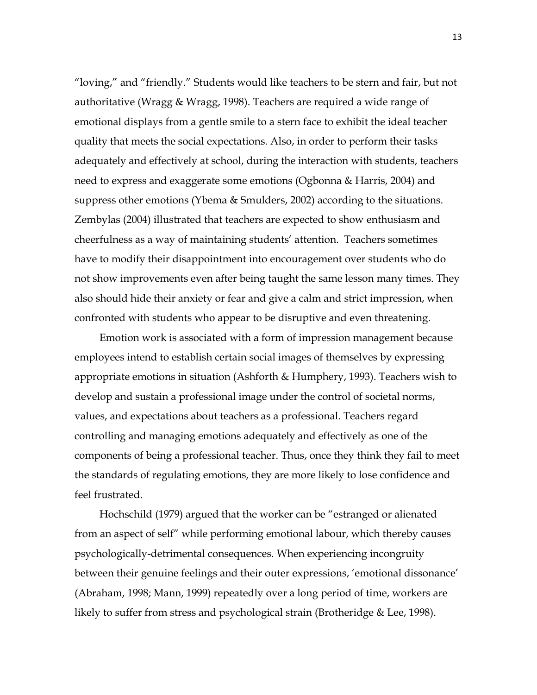"loving," and "friendly." Students would like teachers to be stern and fair, but not authoritative (Wragg & Wragg, 1998). Teachers are required a wide range of emotional displays from a gentle smile to a stern face to exhibit the ideal teacher quality that meets the social expectations. Also, in order to perform their tasks adequately and effectively at school, during the interaction with students, teachers need to express and exaggerate some emotions (Ogbonna & Harris, 2004) and suppress other emotions (Ybema & Smulders, 2002) according to the situations. Zembylas (2004) illustrated that teachers are expected to show enthusiasm and cheerfulness as a way of maintaining students' attention. Teachers sometimes have to modify their disappointment into encouragement over students who do not show improvements even after being taught the same lesson many times. They also should hide their anxiety or fear and give a calm and strict impression, when confronted with students who appear to be disruptive and even threatening.

Emotion work is associated with a form of impression management because employees intend to establish certain social images of themselves by expressing appropriate emotions in situation (Ashforth & Humphery, 1993). Teachers wish to develop and sustain a professional image under the control of societal norms, values, and expectations about teachers as a professional. Teachers regard controlling and managing emotions adequately and effectively as one of the components of being a professional teacher. Thus, once they think they fail to meet the standards of regulating emotions, they are more likely to lose confidence and feel frustrated.

Hochschild (1979) argued that the worker can be "estranged or alienated from an aspect of self" while performing emotional labour, which thereby causes psychologically-detrimental consequences. When experiencing incongruity between their genuine feelings and their outer expressions, 'emotional dissonance' (Abraham, 1998; Mann, 1999) repeatedly over a long period of time, workers are likely to suffer from stress and psychological strain (Brotheridge & Lee, 1998).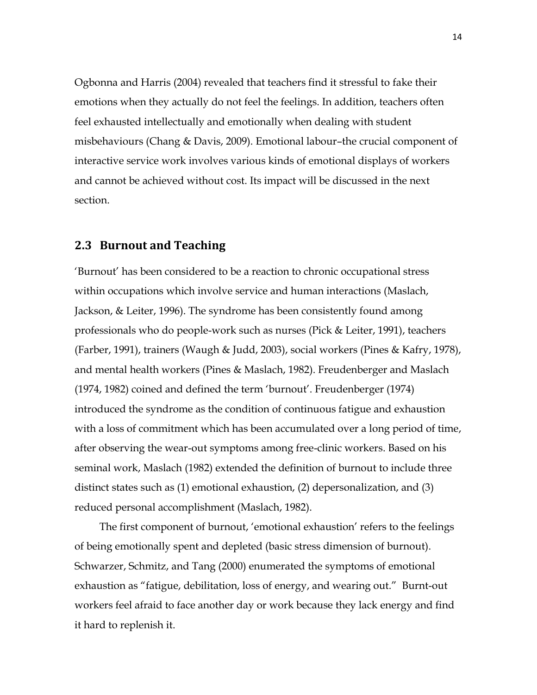Ogbonna and Harris (2004) revealed that teachers find it stressful to fake their emotions when they actually do not feel the feelings. In addition, teachers often feel exhausted intellectually and emotionally when dealing with student misbehaviours (Chang & Davis, 2009). Emotional labour–the crucial component of interactive service work involves various kinds of emotional displays of workers and cannot be achieved without cost. Its impact will be discussed in the next section.

#### **2.3 Burnout and Teaching**

'Burnout' has been considered to be a reaction to chronic occupational stress within occupations which involve service and human interactions (Maslach, Jackson, & Leiter, 1996). The syndrome has been consistently found among professionals who do people-work such as nurses (Pick & Leiter, 1991), teachers (Farber, 1991), trainers (Waugh & Judd, 2003), social workers (Pines & Kafry, 1978), and mental health workers (Pines & Maslach, 1982). Freudenberger and Maslach (1974, 1982) coined and defined the term 'burnout'. Freudenberger (1974) introduced the syndrome as the condition of continuous fatigue and exhaustion with a loss of commitment which has been accumulated over a long period of time, after observing the wear-out symptoms among free-clinic workers. Based on his seminal work, Maslach (1982) extended the definition of burnout to include three distinct states such as (1) emotional exhaustion, (2) depersonalization, and (3) reduced personal accomplishment (Maslach, 1982).

The first component of burnout, 'emotional exhaustion' refers to the feelings of being emotionally spent and depleted (basic stress dimension of burnout). Schwarzer, Schmitz, and Tang (2000) enumerated the symptoms of emotional exhaustion as "fatigue, debilitation, loss of energy, and wearing out." Burnt-out workers feel afraid to face another day or work because they lack energy and find it hard to replenish it.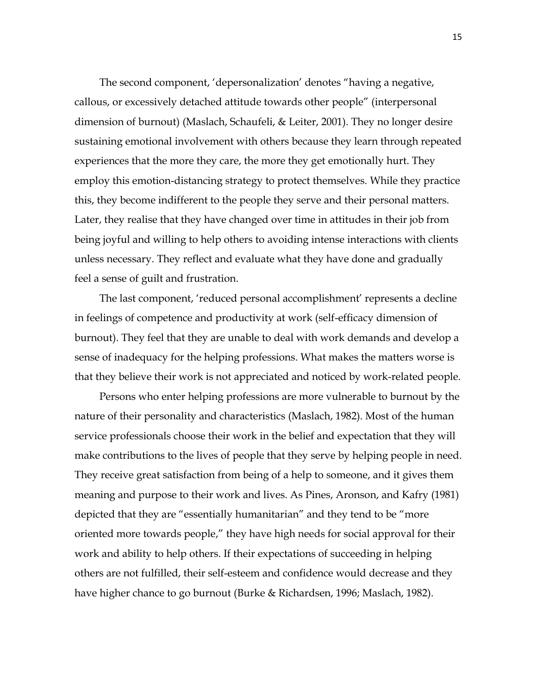The second component, 'depersonalization' denotes "having a negative, callous, or excessively detached attitude towards other people" (interpersonal dimension of burnout) (Maslach, Schaufeli, & Leiter, 2001). They no longer desire sustaining emotional involvement with others because they learn through repeated experiences that the more they care, the more they get emotionally hurt. They employ this emotion-distancing strategy to protect themselves. While they practice this, they become indifferent to the people they serve and their personal matters. Later, they realise that they have changed over time in attitudes in their job from being joyful and willing to help others to avoiding intense interactions with clients unless necessary. They reflect and evaluate what they have done and gradually feel a sense of guilt and frustration.

The last component, 'reduced personal accomplishment' represents a decline in feelings of competence and productivity at work (self-efficacy dimension of burnout). They feel that they are unable to deal with work demands and develop a sense of inadequacy for the helping professions. What makes the matters worse is that they believe their work is not appreciated and noticed by work-related people.

Persons who enter helping professions are more vulnerable to burnout by the nature of their personality and characteristics (Maslach, 1982). Most of the human service professionals choose their work in the belief and expectation that they will make contributions to the lives of people that they serve by helping people in need. They receive great satisfaction from being of a help to someone, and it gives them meaning and purpose to their work and lives. As Pines, Aronson, and Kafry (1981) depicted that they are "essentially humanitarian" and they tend to be "more oriented more towards people," they have high needs for social approval for their work and ability to help others. If their expectations of succeeding in helping others are not fulfilled, their self-esteem and confidence would decrease and they have higher chance to go burnout (Burke & Richardsen, 1996; Maslach, 1982).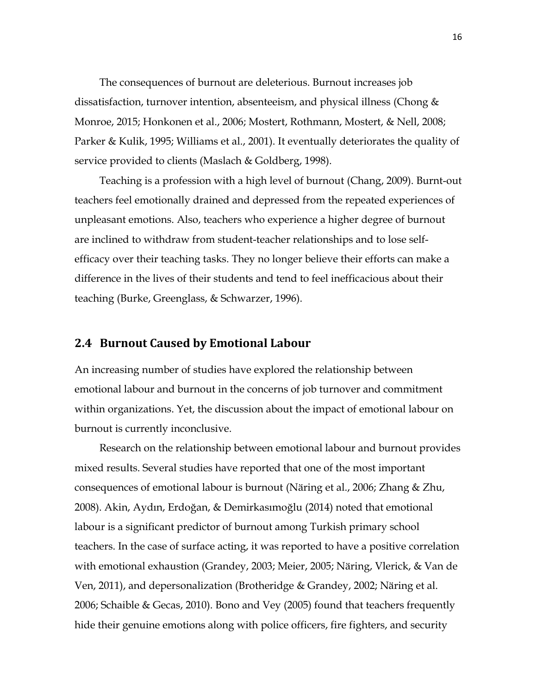The consequences of burnout are deleterious. Burnout increases job dissatisfaction, turnover intention, absenteeism, and physical illness (Chong & Monroe, 2015; Honkonen et al., 2006; Mostert, Rothmann, Mostert, & Nell, 2008; Parker & Kulik, 1995; Williams et al., 2001). It eventually deteriorates the quality of service provided to clients (Maslach & Goldberg, 1998).

Teaching is a profession with a high level of burnout (Chang, 2009). Burnt-out teachers feel emotionally drained and depressed from the repeated experiences of unpleasant emotions. Also, teachers who experience a higher degree of burnout are inclined to withdraw from student-teacher relationships and to lose selfefficacy over their teaching tasks. They no longer believe their efforts can make a difference in the lives of their students and tend to feel inefficacious about their teaching (Burke, Greenglass, & Schwarzer, 1996).

#### **2.4 Burnout Caused by Emotional Labour**

An increasing number of studies have explored the relationship between emotional labour and burnout in the concerns of job turnover and commitment within organizations. Yet, the discussion about the impact of emotional labour on burnout is currently inconclusive.

Research on the relationship between emotional labour and burnout provides mixed results. Several studies have reported that one of the most important consequences of emotional labour is burnout (Näring et al., 2006; Zhang & Zhu, 2008). Akin, Aydın, Erdoğan, & Demirkasımoğlu (2014) noted that emotional labour is a significant predictor of burnout among Turkish primary school teachers. In the case of surface acting, it was reported to have a positive correlation with emotional exhaustion (Grandey, 2003; Meier, 2005; Näring, Vlerick, & Van de Ven, 2011), and depersonalization (Brotheridge & Grandey, 2002; Näring et al. 2006; Schaible & Gecas, 2010). Bono and Vey (2005) found that teachers frequently hide their genuine emotions along with police officers, fire fighters, and security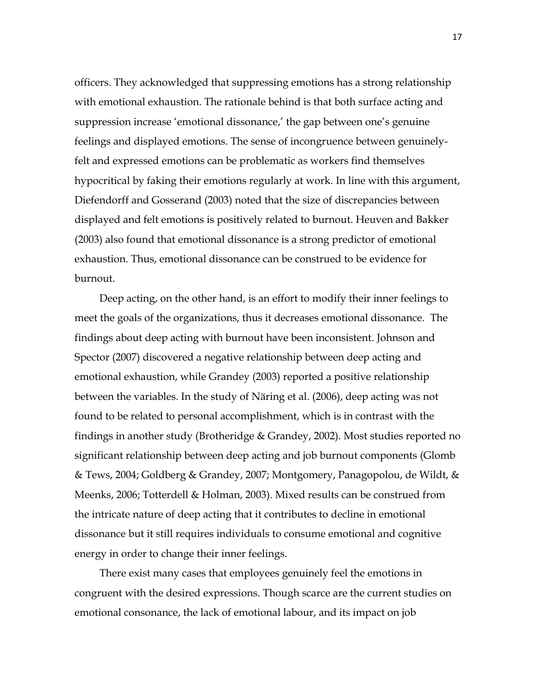officers. They acknowledged that suppressing emotions has a strong relationship with emotional exhaustion. The rationale behind is that both surface acting and suppression increase 'emotional dissonance,' the gap between one's genuine feelings and displayed emotions. The sense of incongruence between genuinelyfelt and expressed emotions can be problematic as workers find themselves hypocritical by faking their emotions regularly at work. In line with this argument, Diefendorff and Gosserand (2003) noted that the size of discrepancies between displayed and felt emotions is positively related to burnout. Heuven and Bakker (2003) also found that emotional dissonance is a strong predictor of emotional exhaustion. Thus, emotional dissonance can be construed to be evidence for burnout.

Deep acting, on the other hand, is an effort to modify their inner feelings to meet the goals of the organizations, thus it decreases emotional dissonance. The findings about deep acting with burnout have been inconsistent. Johnson and Spector (2007) discovered a negative relationship between deep acting and emotional exhaustion, while Grandey (2003) reported a positive relationship between the variables. In the study of Näring et al. (2006), deep acting was not found to be related to personal accomplishment, which is in contrast with the findings in another study (Brotheridge & Grandey, 2002). Most studies reported no significant relationship between deep acting and job burnout components (Glomb & Tews, 2004; Goldberg & Grandey, 2007; Montgomery, Panagopolou, de Wildt, & Meenks, 2006; Totterdell & Holman, 2003). Mixed results can be construed from the intricate nature of deep acting that it contributes to decline in emotional dissonance but it still requires individuals to consume emotional and cognitive energy in order to change their inner feelings.

There exist many cases that employees genuinely feel the emotions in congruent with the desired expressions. Though scarce are the current studies on emotional consonance, the lack of emotional labour, and its impact on job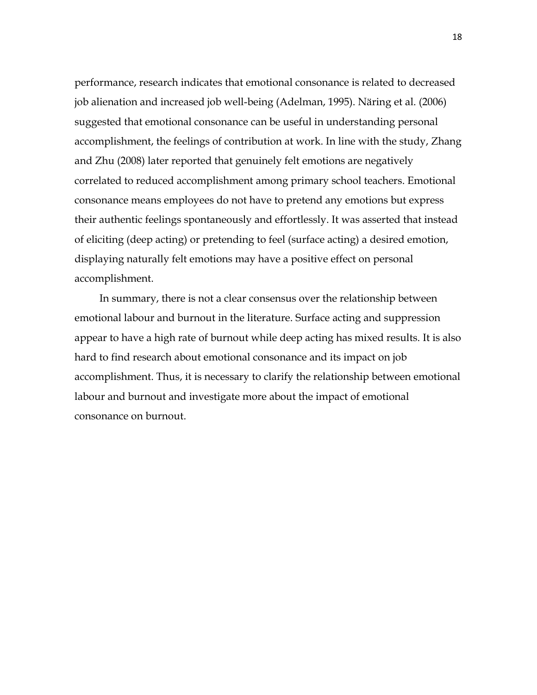performance, research indicates that emotional consonance is related to decreased job alienation and increased job well-being (Adelman, 1995). Näring et al. (2006) suggested that emotional consonance can be useful in understanding personal accomplishment, the feelings of contribution at work. In line with the study, Zhang and Zhu (2008) later reported that genuinely felt emotions are negatively correlated to reduced accomplishment among primary school teachers. Emotional consonance means employees do not have to pretend any emotions but express their authentic feelings spontaneously and effortlessly. It was asserted that instead of eliciting (deep acting) or pretending to feel (surface acting) a desired emotion, displaying naturally felt emotions may have a positive effect on personal accomplishment.

In summary, there is not a clear consensus over the relationship between emotional labour and burnout in the literature. Surface acting and suppression appear to have a high rate of burnout while deep acting has mixed results. It is also hard to find research about emotional consonance and its impact on job accomplishment. Thus, it is necessary to clarify the relationship between emotional labour and burnout and investigate more about the impact of emotional consonance on burnout.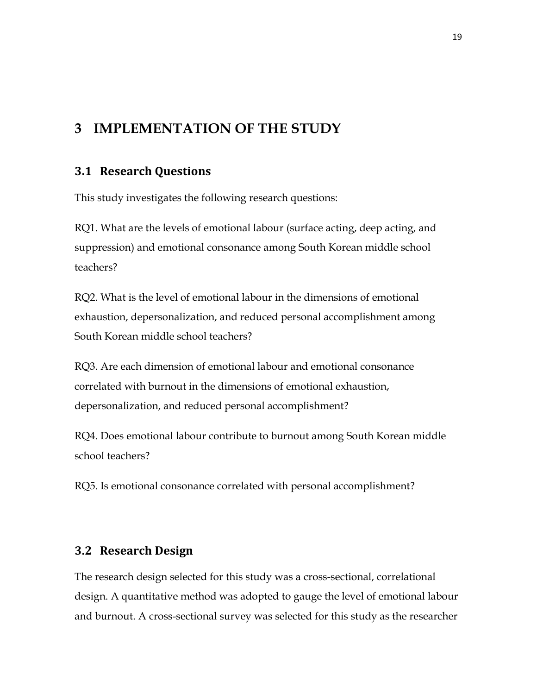# **3 IMPLEMENTATION OF THE STUDY**

#### **3.1 Research Questions**

This study investigates the following research questions:

RQ1. What are the levels of emotional labour (surface acting, deep acting, and suppression) and emotional consonance among South Korean middle school teachers?

RQ2. What is the level of emotional labour in the dimensions of emotional exhaustion, depersonalization, and reduced personal accomplishment among South Korean middle school teachers?

RQ3. Are each dimension of emotional labour and emotional consonance correlated with burnout in the dimensions of emotional exhaustion, depersonalization, and reduced personal accomplishment?

RQ4. Does emotional labour contribute to burnout among South Korean middle school teachers?

RQ5. Is emotional consonance correlated with personal accomplishment?

#### **3.2 Research Design**

The research design selected for this study was a cross-sectional, correlational design. A quantitative method was adopted to gauge the level of emotional labour and burnout. A cross-sectional survey was selected for this study as the researcher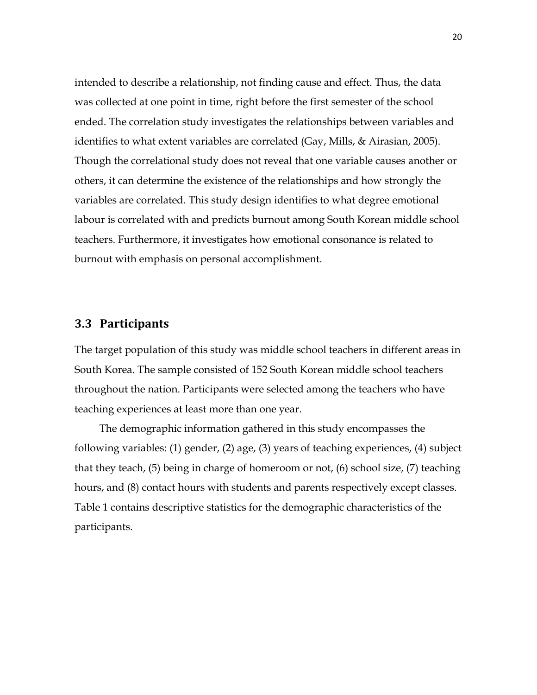intended to describe a relationship, not finding cause and effect. Thus, the data was collected at one point in time, right before the first semester of the school ended. The correlation study investigates the relationships between variables and identifies to what extent variables are correlated (Gay, Mills, & Airasian, 2005). Though the correlational study does not reveal that one variable causes another or others, it can determine the existence of the relationships and how strongly the variables are correlated. This study design identifies to what degree emotional labour is correlated with and predicts burnout among South Korean middle school teachers. Furthermore, it investigates how emotional consonance is related to burnout with emphasis on personal accomplishment.

#### **3.3 Participants**

The target population of this study was middle school teachers in different areas in South Korea. The sample consisted of 152 South Korean middle school teachers throughout the nation. Participants were selected among the teachers who have teaching experiences at least more than one year.

The demographic information gathered in this study encompasses the following variables: (1) gender, (2) age, (3) years of teaching experiences, (4) subject that they teach, (5) being in charge of homeroom or not, (6) school size, (7) teaching hours, and (8) contact hours with students and parents respectively except classes. Table 1 contains descriptive statistics for the demographic characteristics of the participants.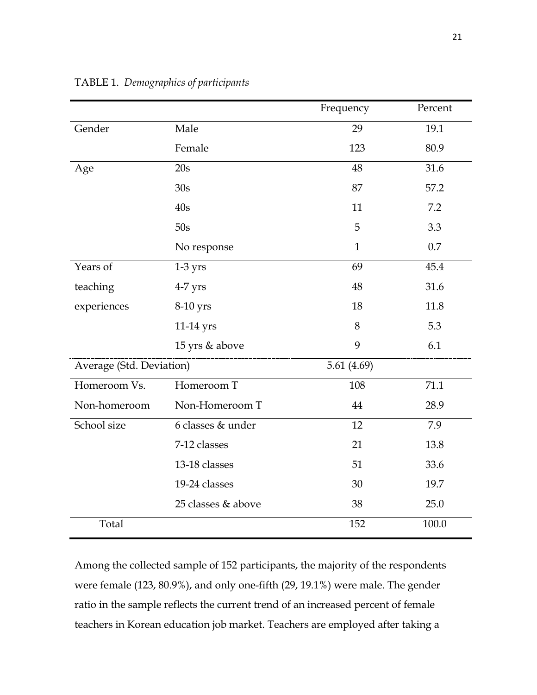|                          |                    | Frequency     | Percent |
|--------------------------|--------------------|---------------|---------|
| Gender                   | Male               | 29            | 19.1    |
|                          | Female             | 123           | 80.9    |
| Age                      | 20s                | 48            | 31.6    |
|                          | 30s                | 87            | 57.2    |
|                          | 40s                | 11            | 7.2     |
|                          | 50s                | 5             | 3.3     |
|                          | No response        | $\mathbf{1}$  | 0.7     |
| Years of                 | $1-3$ yrs          | 69            | 45.4    |
| teaching                 | $4-7$ yrs          | 48            | 31.6    |
| experiences              | 8-10 yrs           | 18            | 11.8    |
|                          | 11-14 yrs          | 8             | 5.3     |
|                          | 15 yrs & above     | 9             | 6.1     |
| Average (Std. Deviation) |                    | 5.61 $(4.69)$ |         |
| Homeroom Vs.             | Homeroom T         | 108           | 71.1    |
| Non-homeroom             | Non-Homeroom T     | 44            | 28.9    |
| School size              | 6 classes & under  | 12            | 7.9     |
|                          | 7-12 classes       | 21            | 13.8    |
|                          | 13-18 classes      | 51            | 33.6    |
|                          | 19-24 classes      | 30            | 19.7    |
|                          | 25 classes & above | 38            | 25.0    |
| Total                    |                    | 152           | 100.0   |

TABLE 1. *Demographics of participants*

Among the collected sample of 152 participants, the majority of the respondents were female (123, 80.9%), and only one-fifth (29, 19.1%) were male. The gender ratio in the sample reflects the current trend of an increased percent of female teachers in Korean education job market. Teachers are employed after taking a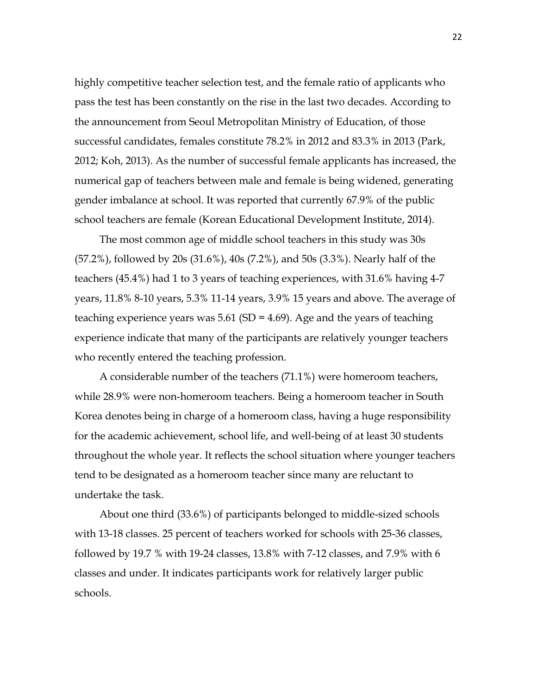highly competitive teacher selection test, and the female ratio of applicants who pass the test has been constantly on the rise in the last two decades. According to the announcement from Seoul Metropolitan Ministry of Education, of those successful candidates, females constitute 78.2% in 2012 and 83.3% in 2013 (Park, 2012; Koh, 2013). As the number of successful female applicants has increased, the numerical gap of teachers between male and female is being widened, generating gender imbalance at school. It was reported that currently 67.9% of the public school teachers are female (Korean Educational Development Institute, 2014).

The most common age of middle school teachers in this study was 30s (57.2%), followed by 20s (31.6%), 40s (7.2%), and 50s (3.3%). Nearly half of the teachers (45.4%) had 1 to 3 years of teaching experiences, with 31.6% having 4-7 years, 11.8% 8-10 years, 5.3% 11-14 years, 3.9% 15 years and above. The average of teaching experience years was  $5.61$  (SD = 4.69). Age and the years of teaching experience indicate that many of the participants are relatively younger teachers who recently entered the teaching profession.

A considerable number of the teachers (71.1%) were homeroom teachers, while 28.9% were non-homeroom teachers. Being a homeroom teacher in South Korea denotes being in charge of a homeroom class, having a huge responsibility for the academic achievement, school life, and well-being of at least 30 students throughout the whole year. It reflects the school situation where younger teachers tend to be designated as a homeroom teacher since many are reluctant to undertake the task.

About one third (33.6%) of participants belonged to middle-sized schools with 13-18 classes. 25 percent of teachers worked for schools with 25-36 classes, followed by 19.7 % with 19-24 classes, 13.8% with 7-12 classes, and 7.9% with 6 classes and under. It indicates participants work for relatively larger public schools.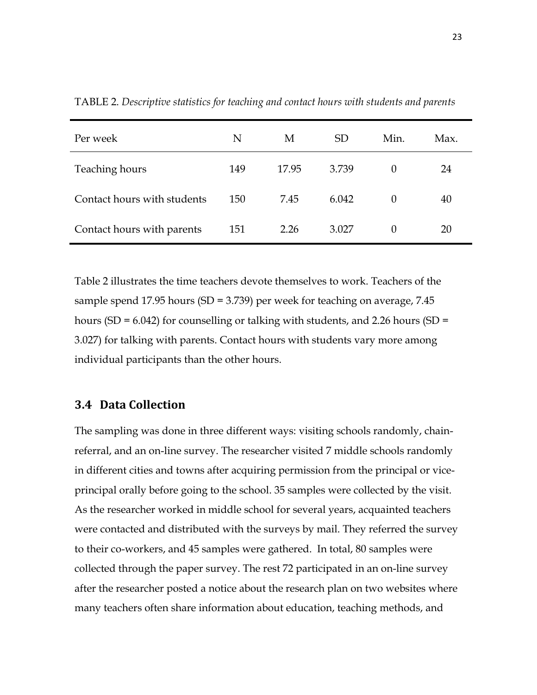| Per week                    | N   | M     | <b>SD</b> | Min.     | Max. |
|-----------------------------|-----|-------|-----------|----------|------|
| Teaching hours              | 149 | 17.95 | 3.739     | $\Omega$ | 24   |
| Contact hours with students | 150 | 7.45  | 6.042     | $\Omega$ | 40   |
| Contact hours with parents  | 151 | 2.26  | 3.027     | $\theta$ | 20   |

TABLE 2. *Descriptive statistics for teaching and contact hours with students and parents*

Table 2 illustrates the time teachers devote themselves to work. Teachers of the sample spend 17.95 hours (SD = 3.739) per week for teaching on average, 7.45 hours (SD =  $6.042$ ) for counselling or talking with students, and 2.26 hours (SD = 3.027) for talking with parents. Contact hours with students vary more among individual participants than the other hours.

#### **3.4 Data Collection**

The sampling was done in three different ways: visiting schools randomly, chainreferral, and an on-line survey. The researcher visited 7 middle schools randomly in different cities and towns after acquiring permission from the principal or viceprincipal orally before going to the school. 35 samples were collected by the visit. As the researcher worked in middle school for several years, acquainted teachers were contacted and distributed with the surveys by mail. They referred the survey to their co-workers, and 45 samples were gathered. In total, 80 samples were collected through the paper survey. The rest 72 participated in an on-line survey after the researcher posted a notice about the research plan on two websites where many teachers often share information about education, teaching methods, and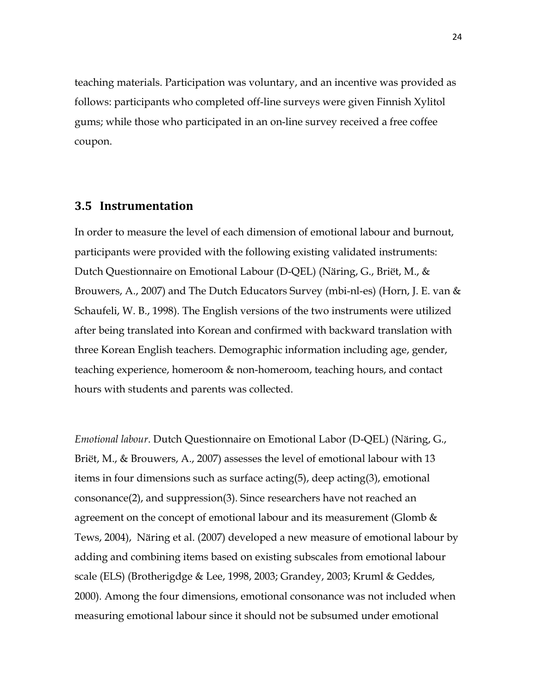teaching materials. Participation was voluntary, and an incentive was provided as follows: participants who completed off-line surveys were given Finnish Xylitol gums; while those who participated in an on-line survey received a free coffee coupon.

#### **3.5 Instrumentation**

In order to measure the level of each dimension of emotional labour and burnout, participants were provided with the following existing validated instruments: Dutch Questionnaire on Emotional Labour (D-QEL) (Näring, G., Briët, M., & Brouwers, A., 2007) and The Dutch Educators Survey (mbi-nl-es) (Horn, J. E. van & Schaufeli, W. B., 1998). The English versions of the two instruments were utilized after being translated into Korean and confirmed with backward translation with three Korean English teachers. Demographic information including age, gender, teaching experience, homeroom & non-homeroom, teaching hours, and contact hours with students and parents was collected.

*Emotional labour*. Dutch Questionnaire on Emotional Labor (D-QEL) (Näring, G., Briët, M., & Brouwers, A., 2007) assesses the level of emotional labour with 13 items in four dimensions such as surface acting(5), deep acting(3), emotional consonance(2), and suppression(3). Since researchers have not reached an agreement on the concept of emotional labour and its measurement (Glomb  $&$ Tews, 2004), Näring et al. (2007) developed a new measure of emotional labour by adding and combining items based on existing subscales from emotional labour scale (ELS) (Brotherigdge & Lee, 1998, 2003; Grandey, 2003; Kruml & Geddes, 2000). Among the four dimensions, emotional consonance was not included when measuring emotional labour since it should not be subsumed under emotional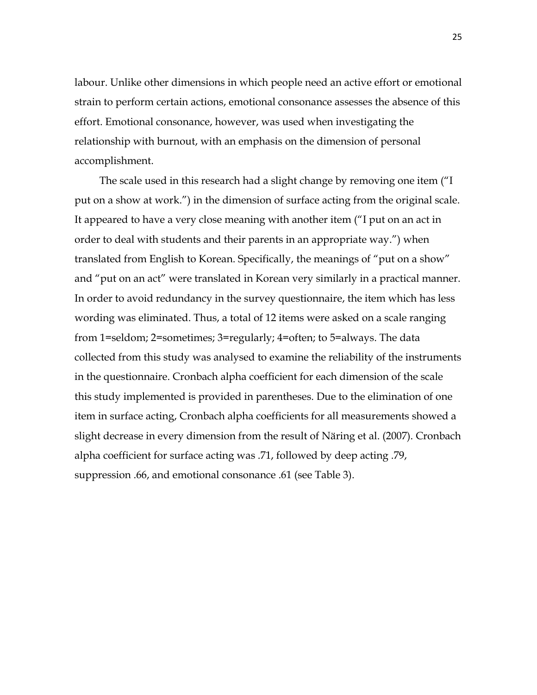labour. Unlike other dimensions in which people need an active effort or emotional strain to perform certain actions, emotional consonance assesses the absence of this effort. Emotional consonance, however, was used when investigating the relationship with burnout, with an emphasis on the dimension of personal accomplishment.

The scale used in this research had a slight change by removing one item ("I put on a show at work.") in the dimension of surface acting from the original scale. It appeared to have a very close meaning with another item ("I put on an act in order to deal with students and their parents in an appropriate way.") when translated from English to Korean. Specifically, the meanings of "put on a show" and "put on an act" were translated in Korean very similarly in a practical manner. In order to avoid redundancy in the survey questionnaire, the item which has less wording was eliminated. Thus, a total of 12 items were asked on a scale ranging from 1=seldom; 2=sometimes; 3=regularly; 4=often; to 5=always. The data collected from this study was analysed to examine the reliability of the instruments in the questionnaire. Cronbach alpha coefficient for each dimension of the scale this study implemented is provided in parentheses. Due to the elimination of one item in surface acting, Cronbach alpha coefficients for all measurements showed a slight decrease in every dimension from the result of Näring et al. (2007). Cronbach alpha coefficient for surface acting was .71, followed by deep acting .79, suppression .66, and emotional consonance .61 (see Table 3).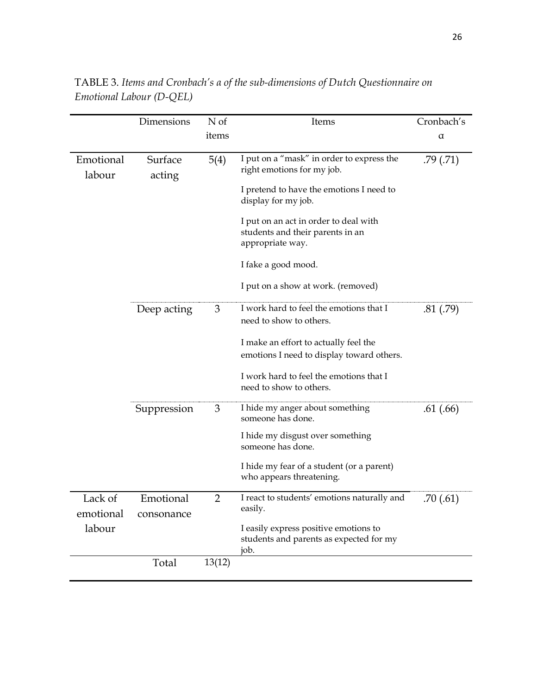|                      | Dimensions              | N of           | Items                                                                                         | Cronbach's |
|----------------------|-------------------------|----------------|-----------------------------------------------------------------------------------------------|------------|
|                      |                         | items          |                                                                                               | α          |
| Emotional<br>labour  | Surface<br>acting       | 5(4)           | I put on a "mask" in order to express the<br>right emotions for my job.                       | .79(.71)   |
|                      |                         |                | I pretend to have the emotions I need to<br>display for my job.                               |            |
|                      |                         |                | I put on an act in order to deal with<br>students and their parents in an<br>appropriate way. |            |
|                      |                         |                | I fake a good mood.                                                                           |            |
|                      |                         |                | I put on a show at work. (removed)                                                            |            |
|                      | Deep acting             | 3              | I work hard to feel the emotions that I<br>need to show to others.                            | .81(.79)   |
|                      |                         |                | I make an effort to actually feel the<br>emotions I need to display toward others.            |            |
|                      |                         |                | I work hard to feel the emotions that I<br>need to show to others.                            |            |
|                      | Suppression             | 3              | I hide my anger about something<br>someone has done.                                          | .61(.66)   |
|                      |                         |                | I hide my disgust over something<br>someone has done.                                         |            |
|                      |                         |                | I hide my fear of a student (or a parent)<br>who appears threatening.                         |            |
| Lack of<br>emotional | Emotional<br>consonance | $\overline{2}$ | I react to students' emotions naturally and<br>easily.                                        | .70 (.61)  |
| labour               |                         |                | I easily express positive emotions to<br>students and parents as expected for my<br>job.      |            |
|                      | Total                   | 13(12)         |                                                                                               |            |

TABLE 3. *Items and Cronbach's α of the sub-dimensions of Dutch Questionnaire on Emotional Labour (D-QEL)*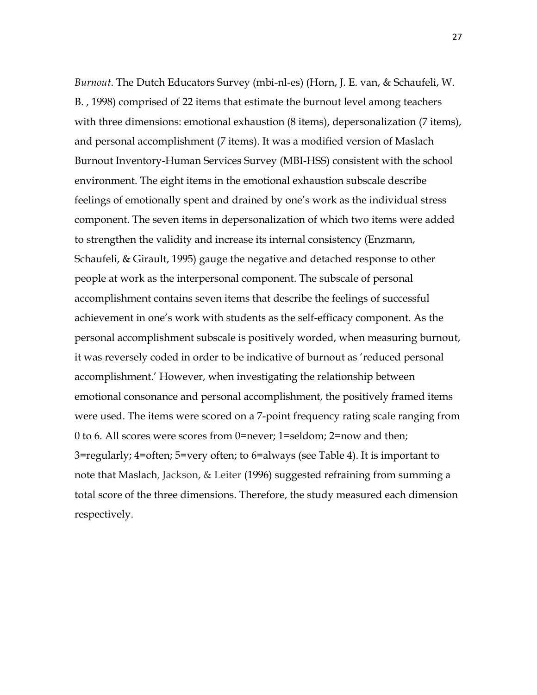*Burnout*. The Dutch Educators Survey (mbi-nl-es) (Horn, J. E. van, & Schaufeli, W. B. , 1998) comprised of 22 items that estimate the burnout level among teachers with three dimensions: emotional exhaustion (8 items), depersonalization (7 items), and personal accomplishment (7 items). It was a modified version of Maslach Burnout Inventory-Human Services Survey (MBI-HSS) consistent with the school environment. The eight items in the emotional exhaustion subscale describe feelings of emotionally spent and drained by one's work as the individual stress component. The seven items in depersonalization of which two items were added to strengthen the validity and increase its internal consistency (Enzmann, Schaufeli, & Girault, 1995) gauge the negative and detached response to other people at work as the interpersonal component. The subscale of personal accomplishment contains seven items that describe the feelings of successful achievement in one's work with students as the self-efficacy component. As the personal accomplishment subscale is positively worded, when measuring burnout, it was reversely coded in order to be indicative of burnout as 'reduced personal accomplishment.' However, when investigating the relationship between emotional consonance and personal accomplishment, the positively framed items were used. The items were scored on a 7-point frequency rating scale ranging from 0 to 6. All scores were scores from 0=never; 1=seldom; 2=now and then; 3=regularly; 4=often; 5=very often; to 6=always (see Table 4). It is important to note that Maslach, Jackson, & Leiter (1996) suggested refraining from summing a total score of the three dimensions. Therefore, the study measured each dimension respectively.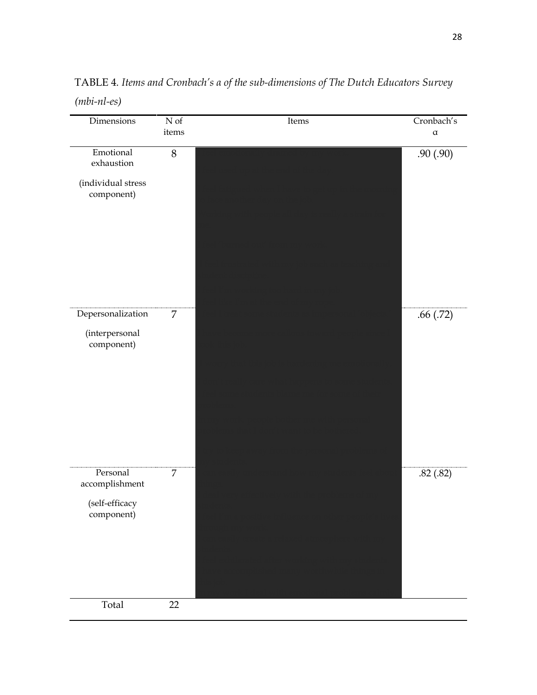| Dimensions                                                 | $\overline{\rm N}$ of | Items | Cronbach's |
|------------------------------------------------------------|-----------------------|-------|------------|
|                                                            | items                 |       | $\alpha$   |
| Emotional<br>exhaustion                                    | $8\,$                 |       | .90(.90)   |
| (individual stress<br>component)                           |                       |       |            |
|                                                            |                       |       |            |
| Depersonalization<br>(interpersonal<br>component)          | $\overline{7}$        |       | .66(.72)   |
| Personal<br>accomplishment<br>(self-efficacy<br>component) | $\overline{7}$        |       | .82(.82)   |
| Total                                                      | 22                    |       |            |

TABLE 4*. Items and Cronbach's α of the sub-dimensions of The Dutch Educators Survey (mbi-nl-es)*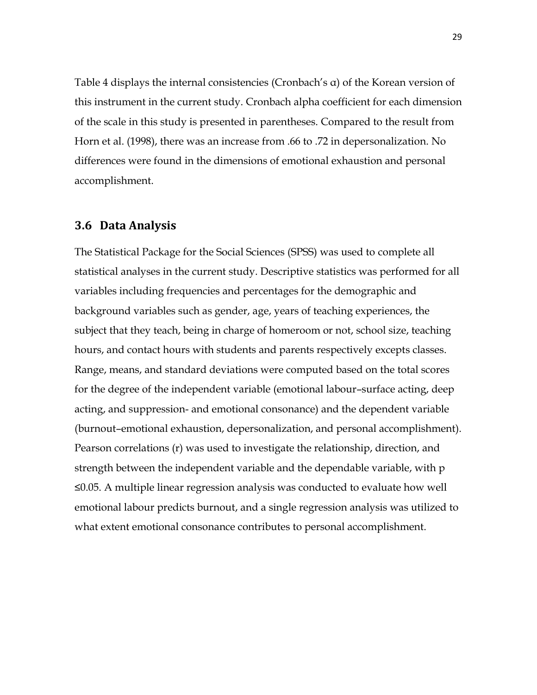Table 4 displays the internal consistencies (Cronbach's α) of the Korean version of this instrument in the current study. Cronbach alpha coefficient for each dimension of the scale in this study is presented in parentheses. Compared to the result from Horn et al. (1998), there was an increase from .66 to .72 in depersonalization. No differences were found in the dimensions of emotional exhaustion and personal accomplishment.

#### **3.6 Data Analysis**

The Statistical Package for the Social Sciences (SPSS) was used to complete all statistical analyses in the current study. Descriptive statistics was performed for all variables including frequencies and percentages for the demographic and background variables such as gender, age, years of teaching experiences, the subject that they teach, being in charge of homeroom or not, school size, teaching hours, and contact hours with students and parents respectively excepts classes. Range, means, and standard deviations were computed based on the total scores for the degree of the independent variable (emotional labour–surface acting, deep acting, and suppression- and emotional consonance) and the dependent variable (burnout–emotional exhaustion, depersonalization, and personal accomplishment). Pearson correlations (r) was used to investigate the relationship, direction, and strength between the independent variable and the dependable variable, with p ≤0.05. A multiple linear regression analysis was conducted to evaluate how well emotional labour predicts burnout, and a single regression analysis was utilized to what extent emotional consonance contributes to personal accomplishment.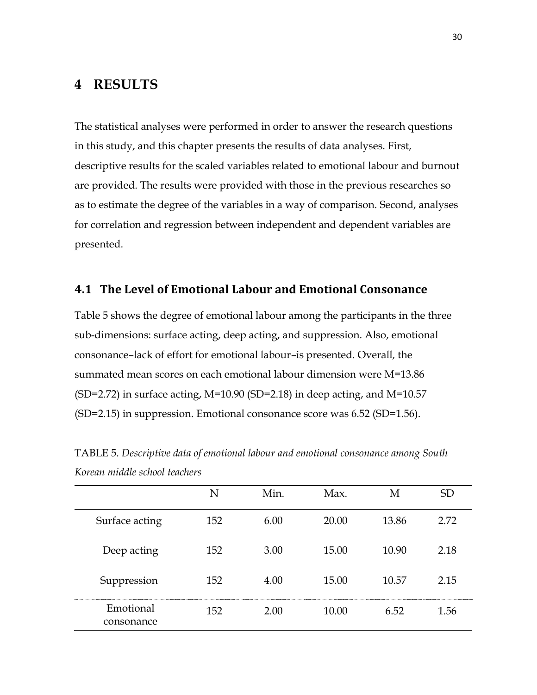# **4 RESULTS**

The statistical analyses were performed in order to answer the research questions in this study, and this chapter presents the results of data analyses. First, descriptive results for the scaled variables related to emotional labour and burnout are provided. The results were provided with those in the previous researches so as to estimate the degree of the variables in a way of comparison. Second, analyses for correlation and regression between independent and dependent variables are presented.

#### **4.1 The Level of Emotional Labour and Emotional Consonance**

Table 5 shows the degree of emotional labour among the participants in the three sub-dimensions: surface acting, deep acting, and suppression. Also, emotional consonance–lack of effort for emotional labour–is presented. Overall, the summated mean scores on each emotional labour dimension were M=13.86 (SD=2.72) in surface acting, M=10.90 (SD=2.18) in deep acting, and M=10.57 (SD=2.15) in suppression. Emotional consonance score was 6.52 (SD=1.56).

|                         | N   | Min. | Max.  | M     | SD   |
|-------------------------|-----|------|-------|-------|------|
| Surface acting          | 152 | 6.00 | 20.00 | 13.86 | 2.72 |
| Deep acting             | 152 | 3.00 | 15.00 | 10.90 | 2.18 |
| Suppression             | 152 | 4.00 | 15.00 | 10.57 | 2.15 |
| Emotional<br>consonance | 152 | 2.00 | 10.00 | 6.52  | 1.56 |

TABLE 5. *Descriptive data of emotional labour and emotional consonance among South Korean middle school teachers*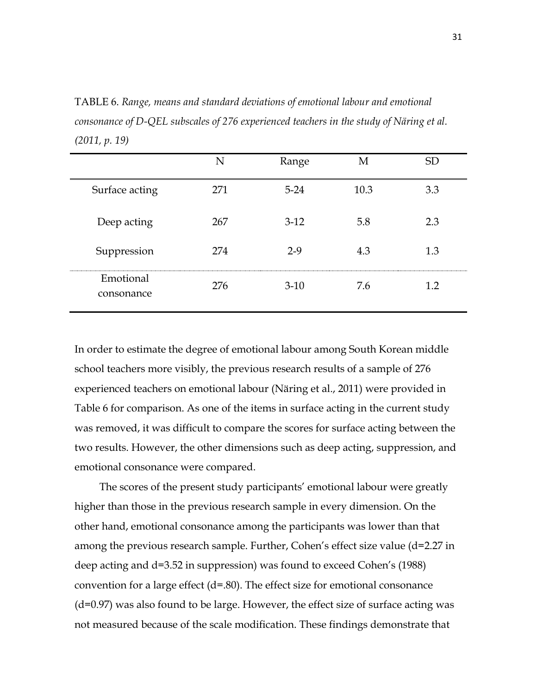TABLE 6. *Range, means and standard deviations of emotional labour and emotional consonance of D-QEL subscales of 276 experienced teachers in the study of Näring et al. (2011, p. 19)*

|                         | N   | Range    | M    | <b>SD</b> |
|-------------------------|-----|----------|------|-----------|
| Surface acting          | 271 | $5 - 24$ | 10.3 | 3.3       |
| Deep acting             | 267 | $3-12$   | 5.8  | 2.3       |
| Suppression             | 274 | $2-9$    | 4.3  | 1.3       |
| Emotional<br>consonance | 276 | $3-10$   | 7.6  | 1.2       |

In order to estimate the degree of emotional labour among South Korean middle school teachers more visibly, the previous research results of a sample of 276 experienced teachers on emotional labour (Näring et al., 2011) were provided in Table 6 for comparison. As one of the items in surface acting in the current study was removed, it was difficult to compare the scores for surface acting between the two results. However, the other dimensions such as deep acting, suppression, and emotional consonance were compared.

The scores of the present study participants' emotional labour were greatly higher than those in the previous research sample in every dimension. On the other hand, emotional consonance among the participants was lower than that among the previous research sample. Further, Cohen's effect size value (d=2.27 in deep acting and d=3.52 in suppression) was found to exceed Cohen's (1988) convention for a large effect  $(d=.80)$ . The effect size for emotional consonance (d=0.97) was also found to be large. However, the effect size of surface acting was not measured because of the scale modification. These findings demonstrate that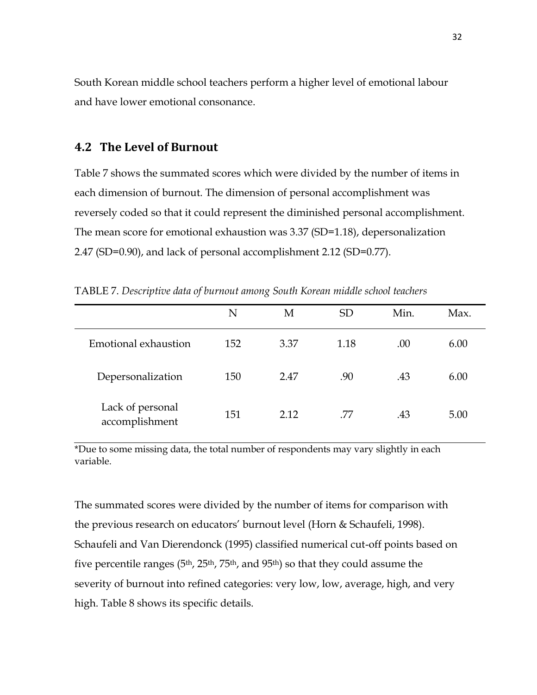South Korean middle school teachers perform a higher level of emotional labour and have lower emotional consonance.

#### **4.2 The Level of Burnout**

Table 7 shows the summated scores which were divided by the number of items in each dimension of burnout. The dimension of personal accomplishment was reversely coded so that it could represent the diminished personal accomplishment. The mean score for emotional exhaustion was 3.37 (SD=1.18), depersonalization 2.47 (SD=0.90), and lack of personal accomplishment 2.12 (SD=0.77).

|                                    | N   | Μ    | <b>SD</b> | Min. | Max. |
|------------------------------------|-----|------|-----------|------|------|
| Emotional exhaustion               | 152 | 3.37 | 1.18      | .00  | 6.00 |
| Depersonalization                  | 150 | 2.47 | .90       | .43  | 6.00 |
| Lack of personal<br>accomplishment | 151 | 2.12 | .77       | .43  | 5.00 |

TABLE 7. *Descriptive data of burnout among South Korean middle school teachers*

\*Due to some missing data, the total number of respondents may vary slightly in each variable.

The summated scores were divided by the number of items for comparison with the previous research on educators' burnout level (Horn & Schaufeli, 1998). Schaufeli and Van Dierendonck (1995) classified numerical cut-off points based on five percentile ranges (5th, 25th, 75th, and 95th) so that they could assume the severity of burnout into refined categories: very low, low, average, high, and very high. Table 8 shows its specific details.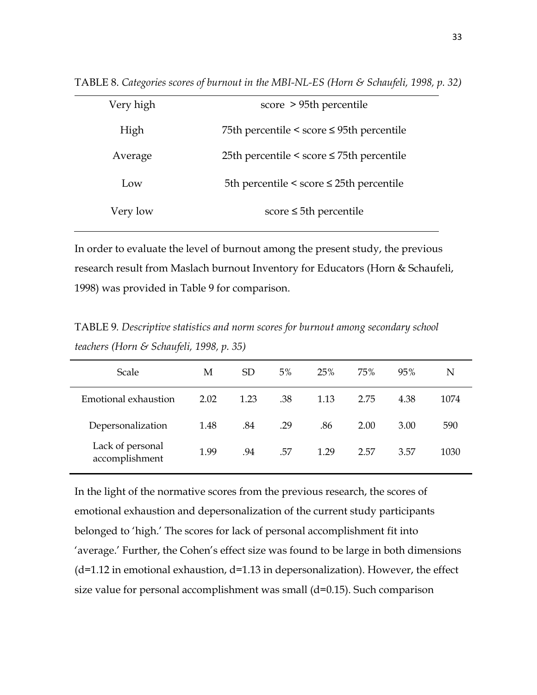| Very high | score > 95th percentile                        |
|-----------|------------------------------------------------|
| High      | 75th percentile < score $\leq$ 95th percentile |
| Average   | 25th percentile < score $\leq$ 75th percentile |
| Low       | 5th percentile < score $\leq$ 25th percentile  |
| Very low  | score $\leq$ 5th percentile                    |

TABLE 8. *Categories scores of burnout in the MBI-NL-ES (Horn & Schaufeli, 1998, p. 32)*

In order to evaluate the level of burnout among the present study, the previous research result from Maslach burnout Inventory for Educators (Horn & Schaufeli, 1998) was provided in Table 9 for comparison.

TABLE 9*. Descriptive statistics and norm scores for burnout among secondary school teachers (Horn & Schaufeli, 1998, p. 35)*

| Scale                              | М    | <b>SD</b> | 5%  | 25%  | 75%  | 95%  | N    |
|------------------------------------|------|-----------|-----|------|------|------|------|
| Emotional exhaustion               | 2.02 | 1.23      | .38 | 1.13 | 2.75 | 4.38 | 1074 |
| Depersonalization                  | 1.48 | .84       | .29 | .86  | 2.00 | 3.00 | 590  |
| Lack of personal<br>accomplishment | 1.99 | .94       | .57 | 1.29 | 2.57 | 3.57 | 1030 |

In the light of the normative scores from the previous research, the scores of emotional exhaustion and depersonalization of the current study participants belonged to 'high.' The scores for lack of personal accomplishment fit into 'average.' Further, the Cohen's effect size was found to be large in both dimensions  $(d=1.12$  in emotional exhaustion,  $d=1.13$  in depersonalization). However, the effect size value for personal accomplishment was small (d=0.15). Such comparison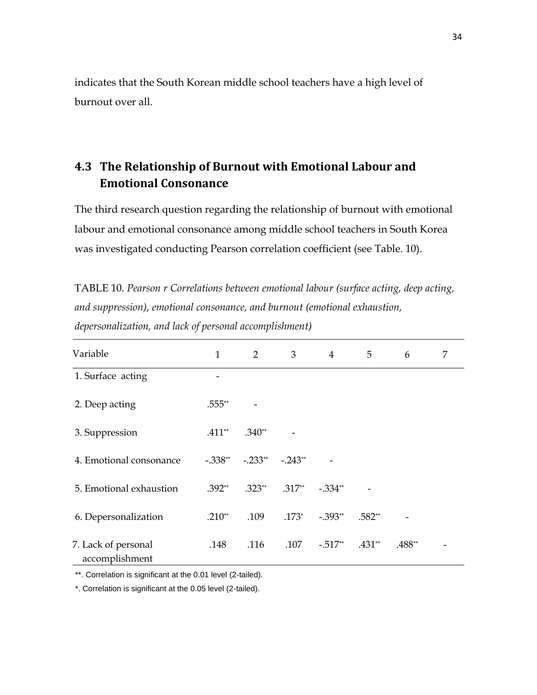indicates that the South Korean middle school teachers have a high level of burnout over all.

# **4.3 The Relationship of Burnout with Emotional Labour and Emotional Consonance**

The third research question regarding the relationship of burnout with emotional labour and emotional consonance among middle school teachers in South Korea was investigated conducting Pearson correlation coefficient (see Table. 10).

| TABLE 10. Pearson r Correlations between emotional labour (surface acting, deep acting, |
|-----------------------------------------------------------------------------------------|
| and suppression), emotional consonance, and burnout (emotional exhaustion,              |
| depersonalization, and lack of personal accomplishment)                                 |

| Variable                              | 1         | $\overline{2}$ | 3         | $\overline{4}$ | 5        | 6      | 7 |
|---------------------------------------|-----------|----------------|-----------|----------------|----------|--------|---|
| 1. Surface acting                     |           |                |           |                |          |        |   |
| 2. Deep acting                        | .555**    |                |           |                |          |        |   |
| 3. Suppression                        | $.411**$  | $.340**$       |           |                |          |        |   |
| 4. Emotional consonance               | $-.338**$ | $-.233**$      | $-.243**$ |                |          |        |   |
| 5. Emotional exhaustion               | $.392**$  | $.323**$       | $.317**$  | $-.334**$      |          |        |   |
| 6. Depersonalization                  | $.210**$  | .109           | $.173*$   | $-.393**$      | $.582**$ |        |   |
| 7. Lack of personal<br>accomplishment | .148      | .116           | .107      | $-.517**$      | $.431**$ | .488** |   |

\*\*. Correlation is significant at the 0.01 level (2-tailed).

\*. Correlation is significant at the 0.05 level (2-tailed).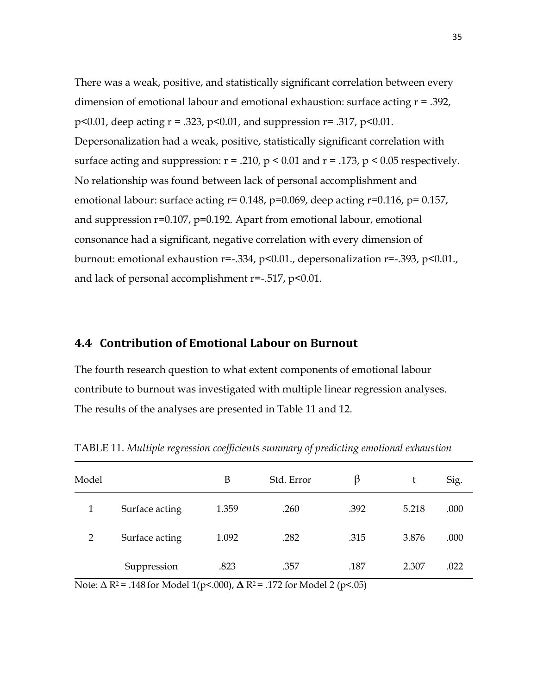There was a weak, positive, and statistically significant correlation between every dimension of emotional labour and emotional exhaustion: surface acting r = .392, p<0.01, deep acting  $r = .323$ , p<0.01, and suppression  $r = .317$ , p<0.01. Depersonalization had a weak, positive, statistically significant correlation with surface acting and suppression:  $r = .210$ ,  $p < 0.01$  and  $r = .173$ ,  $p < 0.05$  respectively. No relationship was found between lack of personal accomplishment and emotional labour: surface acting  $r= 0.148$ ,  $p=0.069$ , deep acting  $r=0.116$ ,  $p= 0.157$ , and suppression r=0.107, p=0.192. Apart from emotional labour, emotional consonance had a significant, negative correlation with every dimension of burnout: emotional exhaustion r=-.334, p<0.01., depersonalization r=-.393, p<0.01., and lack of personal accomplishment r=-.517, p<0.01.

#### **4.4 Contribution of Emotional Labour on Burnout**

The fourth research question to what extent components of emotional labour contribute to burnout was investigated with multiple linear regression analyses. The results of the analyses are presented in Table 11 and 12.

| Model          |                | B     | Std. Error | B    | t     | Sig. |
|----------------|----------------|-------|------------|------|-------|------|
| 1              | Surface acting | 1.359 | .260       | .392 | 5.218 | .000 |
| $\overline{2}$ | Surface acting | 1.092 | .282       | .315 | 3.876 | .000 |
|                | Suppression    | .823  | .357       | .187 | 2.307 | .022 |

TABLE 11. *Multiple regression coefficients summary of predicting emotional exhaustion*

Note: Δ R2 = .148 for Model 1(p<.000), **Δ** R2 = .172 for Model 2 (p<.05)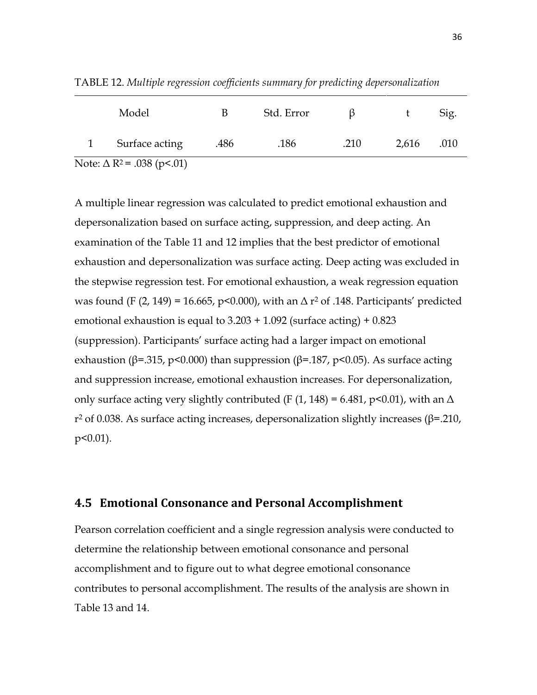| Model                                        | В    | Std. Error |      |       | Sig. |
|----------------------------------------------|------|------------|------|-------|------|
| Surface acting                               | .486 | .186       | .210 | 2,616 | .010 |
| Note: $\Delta$ R <sup>2</sup> = .038 (p<.01) |      |            |      |       |      |

TABLE 12. *Multiple regression coefficients summary for predicting depersonalization*

A multiple linear regression was calculated to predict emotional exhaustion and depersonalization based on surface acting, suppression, and deep acting. An examination of the Table 11 and 12 implies that the best predictor of emotional exhaustion and depersonalization was surface acting. Deep acting was excluded in the stepwise regression test. For emotional exhaustion, a weak regression equation was found (F (2, 149) = 16.665, p<0.000), with an  $\Delta$  r<sup>2</sup> of .148. Participants' predicted emotional exhaustion is equal to  $3.203 + 1.092$  (surface acting) +  $0.823$ (suppression). Participants' surface acting had a larger impact on emotional exhaustion (β=.315, p<0.000) than suppression (β=.187, p<0.05). As surface acting and suppression increase, emotional exhaustion increases. For depersonalization, only surface acting very slightly contributed (F  $(1, 148) = 6.481$ , p<0.01), with an  $\Delta$ r<sup>2</sup> of 0.038. As surface acting increases, depersonalization slightly increases (β=.210, p<0.01).

#### **4.5 Emotional Consonance and Personal Accomplishment**

Pearson correlation coefficient and a single regression analysis were conducted to determine the relationship between emotional consonance and personal accomplishment and to figure out to what degree emotional consonance contributes to personal accomplishment. The results of the analysis are shown in Table 13 and 14.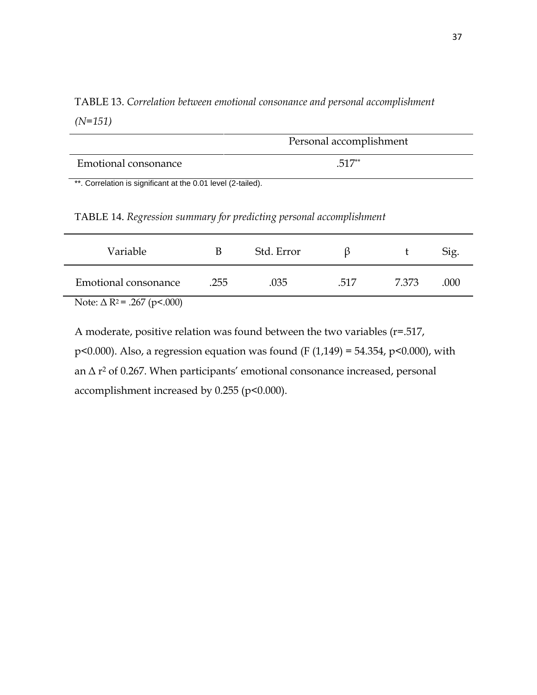TABLE 13. *Correlation between emotional consonance and personal accomplishment (N=151)*

|                                                              | Personal accomplishment |
|--------------------------------------------------------------|-------------------------|
| Emotional consonance                                         | $.517**$                |
| **. Correlation is significant at the 0.01 level (2-tailed). |                         |

TABLE 14. *Regression summary for predicting personal accomplishment*

| Variable                                      | В    | Std. Error |      |      | Sig. |
|-----------------------------------------------|------|------------|------|------|------|
| Emotional consonance                          | .255 | .035       | .517 | 7373 | .000 |
| Note: $\Delta$ R <sup>2</sup> = .267 (p<.000) |      |            |      |      |      |

A moderate, positive relation was found between the two variables (r=.517, p<0.000). Also, a regression equation was found (F (1,149) = 54.354, p<0.000), with an Δ r <sup>2</sup> of 0.267. When participants' emotional consonance increased, personal accomplishment increased by 0.255 (p<0.000).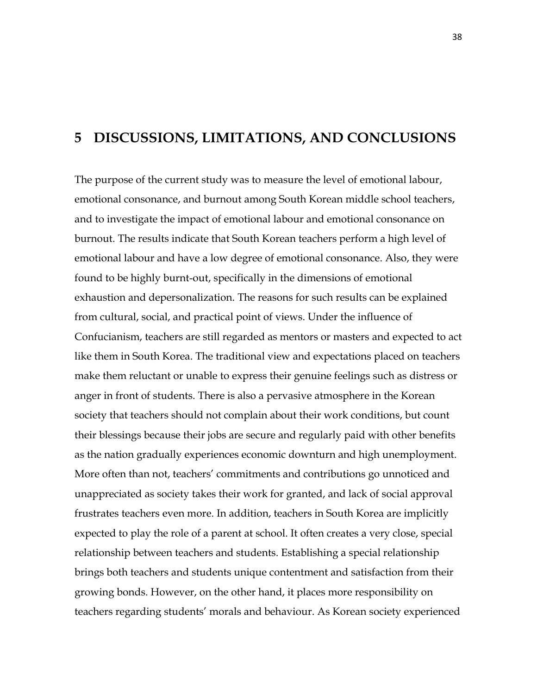## **5 DISCUSSIONS, LIMITATIONS, AND CONCLUSIONS**

The purpose of the current study was to measure the level of emotional labour, emotional consonance, and burnout among South Korean middle school teachers, and to investigate the impact of emotional labour and emotional consonance on burnout. The results indicate that South Korean teachers perform a high level of emotional labour and have a low degree of emotional consonance. Also, they were found to be highly burnt-out, specifically in the dimensions of emotional exhaustion and depersonalization. The reasons for such results can be explained from cultural, social, and practical point of views. Under the influence of Confucianism, teachers are still regarded as mentors or masters and expected to act like them in South Korea. The traditional view and expectations placed on teachers make them reluctant or unable to express their genuine feelings such as distress or anger in front of students. There is also a pervasive atmosphere in the Korean society that teachers should not complain about their work conditions, but count their blessings because their jobs are secure and regularly paid with other benefits as the nation gradually experiences economic downturn and high unemployment. More often than not, teachers' commitments and contributions go unnoticed and unappreciated as society takes their work for granted, and lack of social approval frustrates teachers even more. In addition, teachers in South Korea are implicitly expected to play the role of a parent at school. It often creates a very close, special relationship between teachers and students. Establishing a special relationship brings both teachers and students unique contentment and satisfaction from their growing bonds. However, on the other hand, it places more responsibility on teachers regarding students' morals and behaviour. As Korean society experienced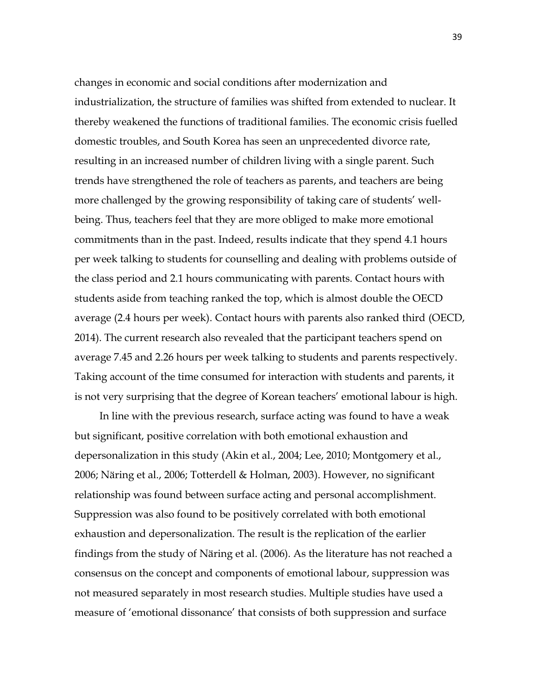changes in economic and social conditions after modernization and industrialization, the structure of families was shifted from extended to nuclear. It thereby weakened the functions of traditional families. The economic crisis fuelled domestic troubles, and South Korea has seen an unprecedented divorce rate, resulting in an increased number of children living with a single parent. Such trends have strengthened the role of teachers as parents, and teachers are being more challenged by the growing responsibility of taking care of students' wellbeing. Thus, teachers feel that they are more obliged to make more emotional commitments than in the past. Indeed, results indicate that they spend 4.1 hours per week talking to students for counselling and dealing with problems outside of the class period and 2.1 hours communicating with parents. Contact hours with students aside from teaching ranked the top, which is almost double the OECD average (2.4 hours per week). Contact hours with parents also ranked third (OECD, 2014). The current research also revealed that the participant teachers spend on average 7.45 and 2.26 hours per week talking to students and parents respectively. Taking account of the time consumed for interaction with students and parents, it is not very surprising that the degree of Korean teachers' emotional labour is high.

In line with the previous research, surface acting was found to have a weak but significant, positive correlation with both emotional exhaustion and depersonalization in this study (Akin et al., 2004; Lee, 2010; Montgomery et al., 2006; Näring et al., 2006; Totterdell & Holman, 2003). However, no significant relationship was found between surface acting and personal accomplishment. Suppression was also found to be positively correlated with both emotional exhaustion and depersonalization. The result is the replication of the earlier findings from the study of Näring et al. (2006). As the literature has not reached a consensus on the concept and components of emotional labour, suppression was not measured separately in most research studies. Multiple studies have used a measure of 'emotional dissonance' that consists of both suppression and surface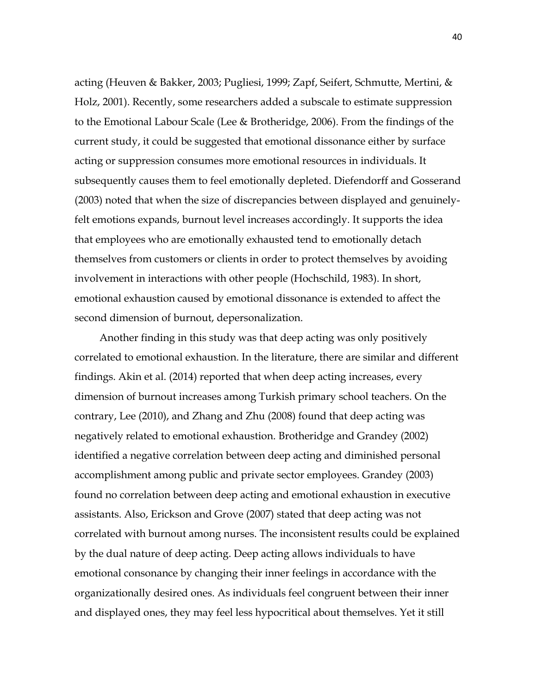acting (Heuven & Bakker, 2003; Pugliesi, 1999; Zapf, Seifert, Schmutte, Mertini, & Holz, 2001). Recently, some researchers added a subscale to estimate suppression to the Emotional Labour Scale (Lee & Brotheridge, 2006). From the findings of the current study, it could be suggested that emotional dissonance either by surface acting or suppression consumes more emotional resources in individuals. It subsequently causes them to feel emotionally depleted. Diefendorff and Gosserand (2003) noted that when the size of discrepancies between displayed and genuinelyfelt emotions expands, burnout level increases accordingly. It supports the idea that employees who are emotionally exhausted tend to emotionally detach themselves from customers or clients in order to protect themselves by avoiding involvement in interactions with other people (Hochschild, 1983). In short, emotional exhaustion caused by emotional dissonance is extended to affect the second dimension of burnout, depersonalization.

Another finding in this study was that deep acting was only positively correlated to emotional exhaustion. In the literature, there are similar and different findings. Akin et al. (2014) reported that when deep acting increases, every dimension of burnout increases among Turkish primary school teachers. On the contrary, Lee (2010), and Zhang and Zhu (2008) found that deep acting was negatively related to emotional exhaustion. Brotheridge and Grandey (2002) identified a negative correlation between deep acting and diminished personal accomplishment among public and private sector employees. Grandey (2003) found no correlation between deep acting and emotional exhaustion in executive assistants. Also, Erickson and Grove (2007) stated that deep acting was not correlated with burnout among nurses. The inconsistent results could be explained by the dual nature of deep acting. Deep acting allows individuals to have emotional consonance by changing their inner feelings in accordance with the organizationally desired ones. As individuals feel congruent between their inner and displayed ones, they may feel less hypocritical about themselves. Yet it still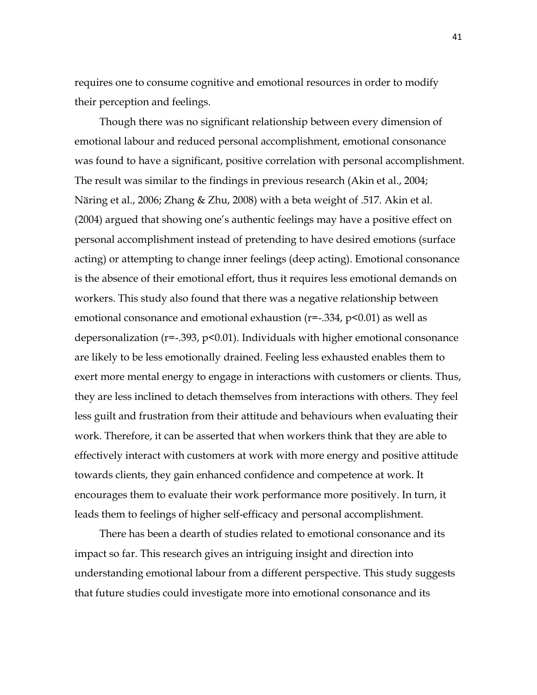requires one to consume cognitive and emotional resources in order to modify their perception and feelings.

Though there was no significant relationship between every dimension of emotional labour and reduced personal accomplishment, emotional consonance was found to have a significant, positive correlation with personal accomplishment. The result was similar to the findings in previous research (Akin et al., 2004; Näring et al., 2006; Zhang & Zhu, 2008) with a beta weight of .517. Akin et al. (2004) argued that showing one's authentic feelings may have a positive effect on personal accomplishment instead of pretending to have desired emotions (surface acting) or attempting to change inner feelings (deep acting). Emotional consonance is the absence of their emotional effort, thus it requires less emotional demands on workers. This study also found that there was a negative relationship between emotional consonance and emotional exhaustion (r=-.334, p<0.01) as well as depersonalization (r=-.393, p<0.01). Individuals with higher emotional consonance are likely to be less emotionally drained. Feeling less exhausted enables them to exert more mental energy to engage in interactions with customers or clients. Thus, they are less inclined to detach themselves from interactions with others. They feel less guilt and frustration from their attitude and behaviours when evaluating their work. Therefore, it can be asserted that when workers think that they are able to effectively interact with customers at work with more energy and positive attitude towards clients, they gain enhanced confidence and competence at work. It encourages them to evaluate their work performance more positively. In turn, it leads them to feelings of higher self-efficacy and personal accomplishment.

There has been a dearth of studies related to emotional consonance and its impact so far. This research gives an intriguing insight and direction into understanding emotional labour from a different perspective. This study suggests that future studies could investigate more into emotional consonance and its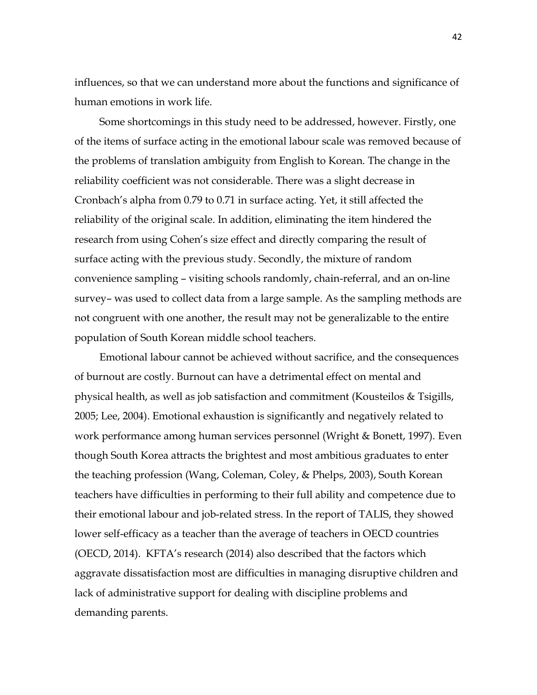influences, so that we can understand more about the functions and significance of human emotions in work life.

Some shortcomings in this study need to be addressed, however. Firstly, one of the items of surface acting in the emotional labour scale was removed because of the problems of translation ambiguity from English to Korean. The change in the reliability coefficient was not considerable. There was a slight decrease in Cronbach's alpha from 0.79 to 0.71 in surface acting. Yet, it still affected the reliability of the original scale. In addition, eliminating the item hindered the research from using Cohen's size effect and directly comparing the result of surface acting with the previous study. Secondly, the mixture of random convenience sampling – visiting schools randomly, chain-referral, and an on-line survey– was used to collect data from a large sample. As the sampling methods are not congruent with one another, the result may not be generalizable to the entire population of South Korean middle school teachers.

Emotional labour cannot be achieved without sacrifice, and the consequences of burnout are costly. Burnout can have a detrimental effect on mental and physical health, as well as job satisfaction and commitment (Kousteilos & Tsigills, 2005; Lee, 2004). Emotional exhaustion is significantly and negatively related to work performance among human services personnel (Wright & Bonett, 1997). Even though South Korea attracts the brightest and most ambitious graduates to enter the teaching profession (Wang, Coleman, Coley, & Phelps, 2003), South Korean teachers have difficulties in performing to their full ability and competence due to their emotional labour and job-related stress. In the report of TALIS, they showed lower self-efficacy as a teacher than the average of teachers in OECD countries (OECD, 2014). KFTA's research (2014) also described that the factors which aggravate dissatisfaction most are difficulties in managing disruptive children and lack of administrative support for dealing with discipline problems and demanding parents.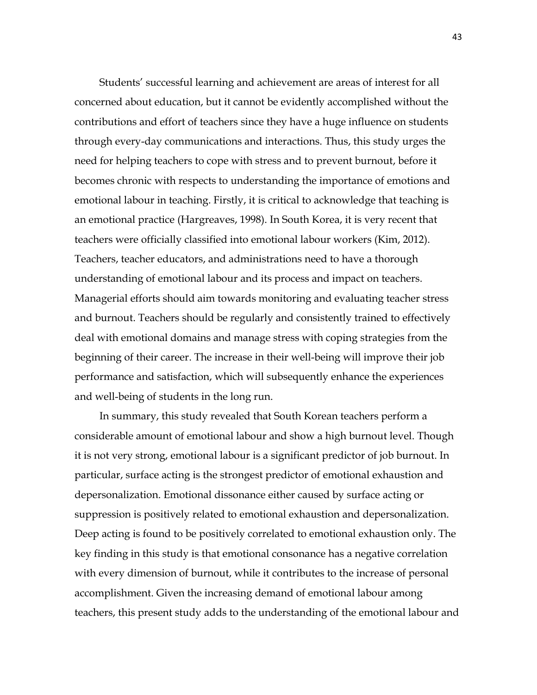Students' successful learning and achievement are areas of interest for all concerned about education, but it cannot be evidently accomplished without the contributions and effort of teachers since they have a huge influence on students through every-day communications and interactions. Thus, this study urges the need for helping teachers to cope with stress and to prevent burnout, before it becomes chronic with respects to understanding the importance of emotions and emotional labour in teaching. Firstly, it is critical to acknowledge that teaching is an emotional practice (Hargreaves, 1998). In South Korea, it is very recent that teachers were officially classified into emotional labour workers (Kim, 2012). Teachers, teacher educators, and administrations need to have a thorough understanding of emotional labour and its process and impact on teachers. Managerial efforts should aim towards monitoring and evaluating teacher stress and burnout. Teachers should be regularly and consistently trained to effectively deal with emotional domains and manage stress with coping strategies from the beginning of their career. The increase in their well-being will improve their job performance and satisfaction, which will subsequently enhance the experiences and well-being of students in the long run.

In summary, this study revealed that South Korean teachers perform a considerable amount of emotional labour and show a high burnout level. Though it is not very strong, emotional labour is a significant predictor of job burnout. In particular, surface acting is the strongest predictor of emotional exhaustion and depersonalization. Emotional dissonance either caused by surface acting or suppression is positively related to emotional exhaustion and depersonalization. Deep acting is found to be positively correlated to emotional exhaustion only. The key finding in this study is that emotional consonance has a negative correlation with every dimension of burnout, while it contributes to the increase of personal accomplishment. Given the increasing demand of emotional labour among teachers, this present study adds to the understanding of the emotional labour and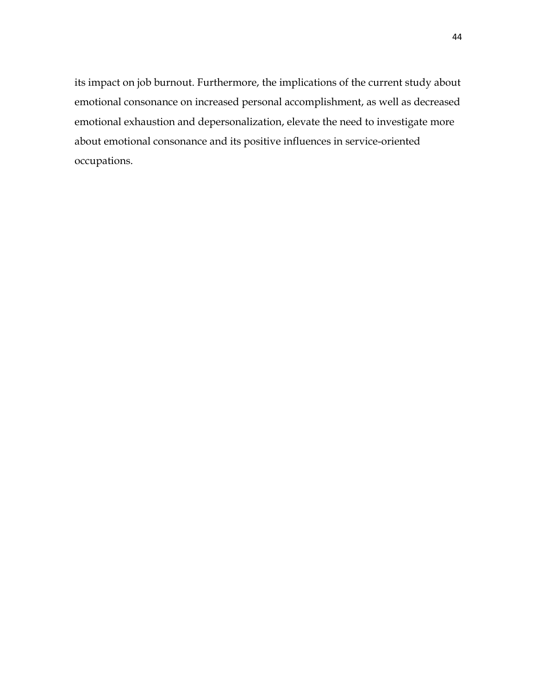its impact on job burnout. Furthermore, the implications of the current study about emotional consonance on increased personal accomplishment, as well as decreased emotional exhaustion and depersonalization, elevate the need to investigate more about emotional consonance and its positive influences in service-oriented occupations.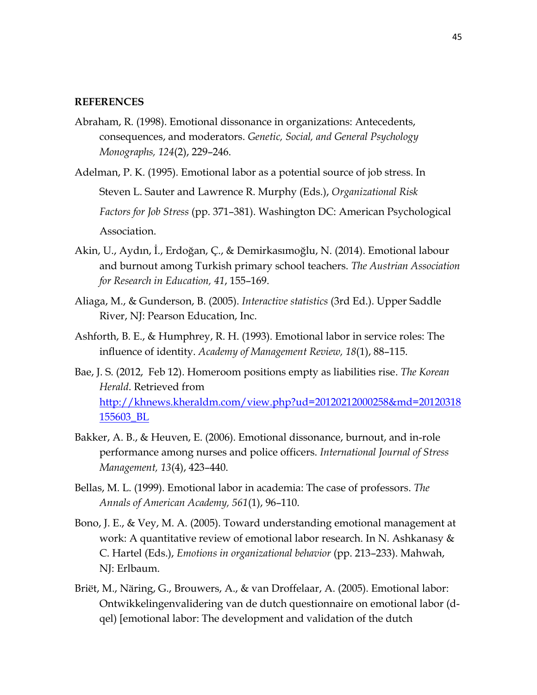#### **REFERENCES**

- Abraham, R. (1998). Emotional dissonance in organizations: Antecedents, consequences, and moderators. *Genetic, Social, and General Psychology Monographs, 124*(2), 229–246.
- Adelman, P. K. (1995). Emotional labor as a potential source of job stress. In Steven L. Sauter and Lawrence R. Murphy (Eds.), *Organizational Risk Factors for Job Stress* (pp. 371–381). Washington DC: American Psychological Association.
- Akin, U., Aydın, İ., Erdoğan, Ç., & Demirkasımoğlu, N. (2014). Emotional labour and burnout among Turkish primary school teachers. *The Austrian Association for Research in Education, 41*, 155–169.
- Aliaga, M., & Gunderson, B. (2005). *Interactive statistics* (3rd Ed.). Upper Saddle River, NJ: Pearson Education, Inc.
- Ashforth, B. E., & Humphrey, R. H. (1993). Emotional labor in service roles: The influence of identity. *Academy of Management Review, 18*(1), 88–115.
- Bae, J. S. (2012, Feb 12). Homeroom positions empty as liabilities rise. *The Korean Herald*. Retrieved from [http://khnews.kheraldm.com/view.php?ud=20120212000258&md=20120318](http://khnews.kheraldm.com/view.php?ud=20120212000258&md=20120318155603_BL) [155603\\_BL](http://khnews.kheraldm.com/view.php?ud=20120212000258&md=20120318155603_BL)
- Bakker, A. B., & Heuven, E. (2006). Emotional dissonance, burnout, and in-role performance among nurses and police officers. *International Journal of Stress Management, 13*(4), 423–440.
- Bellas, M. L. (1999). Emotional labor in academia: The case of professors. *The Annals of American Academy, 561*(1), 96–110.
- Bono, J. E., & Vey, M. A. (2005). Toward understanding emotional management at work: A quantitative review of emotional labor research. In N. Ashkanasy & C. Hartel (Eds.), *Emotions in organizational behavior* (pp. 213–233). Mahwah, NJ: Erlbaum.
- Briët, M., Näring, G., Brouwers, A., & van Droffelaar, A. (2005). Emotional labor: Ontwikkelingenvalidering van de dutch questionnaire on emotional labor (dqel) [emotional labor: The development and validation of the dutch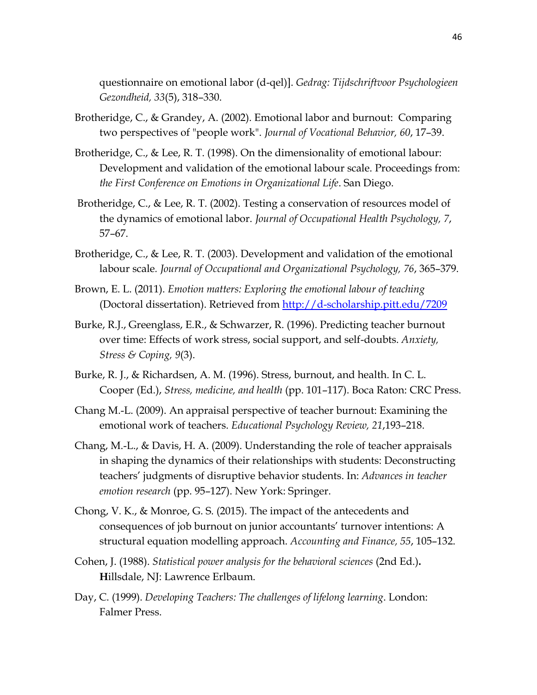questionnaire on emotional labor (d-qel)]. *Gedrag: Tijdschriftvoor Psychologieen Gezondheid, 33*(5), 318–330.

- Brotheridge, C., & Grandey, A. (2002). Emotional labor and burnout: Comparing two perspectives of "people work". *Journal of Vocational Behavior, 60*, 17–39.
- Brotheridge, C., & Lee, R. T. (1998). On the dimensionality of emotional labour: Development and validation of the emotional labour scale. Proceedings from: *the First Conference on Emotions in Organizational Life*. San Diego.
- Brotheridge, C., & Lee, R. T. (2002). Testing a conservation of resources model of the dynamics of emotional labor. *Journal of Occupational Health Psychology, 7*, 57–67.
- Brotheridge, C., & Lee, R. T. (2003). Development and validation of the emotional labour scale*. Journal of Occupational and Organizational Psychology, 76*, 365–379.
- Brown, E. L. (2011). *Emotion matters: Exploring the emotional labour of teaching* (Doctoral dissertation). Retrieved from<http://d-scholarship.pitt.edu/7209>
- Burke, R.J., Greenglass, E.R., & Schwarzer, R. (1996). Predicting teacher burnout over time: Effects of work stress, social support, and self-doubts. *Anxiety, Stress & Coping, 9*(3).
- Burke, R. J., & Richardsen, A. M. (1996). Stress, burnout, and health. In C. L. Cooper (Ed.), *Stress, medicine, and health* (pp. 101–117). Boca Raton: CRC Press.
- Chang M.-L. (2009). An appraisal perspective of teacher burnout: Examining the emotional work of teachers. *Educational Psychology Review, 21*,193–218.
- Chang, M.-L., & Davis, H. A. (2009). Understanding the role of teacher appraisals in shaping the dynamics of their relationships with students: Deconstructing teachers' judgments of disruptive behavior students. In: *Advances in teacher emotion research* (pp. 95–127). New York: Springer.
- Chong, V. K., & Monroe, G. S. (2015). The impact of the antecedents and consequences of job burnout on junior accountants' turnover intentions: A structural equation modelling approach. *Accounting and Finance, 55*, 105–132.
- Cohen, J. (1988). *Statistical power analysis for the behavioral sciences* (2nd Ed.)**. H**illsdale, NJ: Lawrence Erlbaum.
- Day, C. (1999). *Developing Teachers: The challenges of lifelong learning*. London: Falmer Press.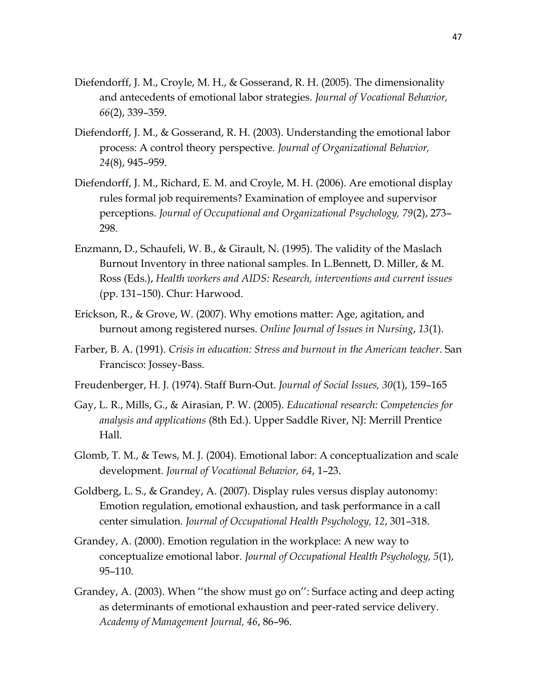- Diefendorff, J. M., Croyle, M. H., & Gosserand, R. H. (2005). The dimensionality and antecedents of emotional labor strategies. *Journal of Vocational Behavior, 66*(2), 339–359.
- Diefendorff, J. M., & Gosserand, R. H. (2003). Understanding the emotional labor process: A control theory perspective. *Journal of Organizational Behavior, 24*(8), 945–959.
- Diefendorff, J. M., Richard, E. M. and Croyle, M. H. (2006). Are emotional display rules formal job requirements? Examination of employee and supervisor perceptions*. Journal of Occupational and Organizational Psychology, 79*(2), 273– 298.
- Enzmann, D., Schaufeli, W. B., & Girault, N. (1995). The validity of the Maslach Burnout Inventory in three national samples. In L.Bennett, D. Miller, & M. Ross (Eds.), *Health workers and AIDS: Research, interventions and current issues* (pp. 131–150). Chur: Harwood.
- Erickson, R., & Grove, W. (2007). Why emotions matter: Age, agitation, and burnout among registered nurses. *Online Journal of Issues in Nursing*, *13*(1).
- Farber, B. A. (1991). *Crisis in education: Stress and burnout in the American teacher*. San Francisco: Jossey-Bass.
- Freudenberger, H. J. (1974). Staff Burn-Out. *Journal of Social Issues, 30*(1), 159–165
- Gay, L. R., Mills, G., & Airasian, P. W. (2005). *Educational research: Competencies for analysis and applications* (8th Ed.). Upper Saddle River, NJ: Merrill Prentice Hall.
- Glomb, T. M., & Tews, M. J. (2004). Emotional labor: A conceptualization and scale development*. Journal of Vocational Behavior, 64*, 1–23.
- Goldberg, L. S., & Grandey, A. (2007). Display rules versus display autonomy: Emotion regulation, emotional exhaustion, and task performance in a call center simulation. *Journal of Occupational Health Psychology, 12*, 301–318.
- Grandey, A. (2000). Emotion regulation in the workplace: A new way to conceptualize emotional labor. *Journal of Occupational Health Psychology, 5*(1), 95–110.
- Grandey, A. (2003). When ''the show must go on'': Surface acting and deep acting as determinants of emotional exhaustion and peer-rated service delivery. *Academy of Management Journal, 46*, 86–96.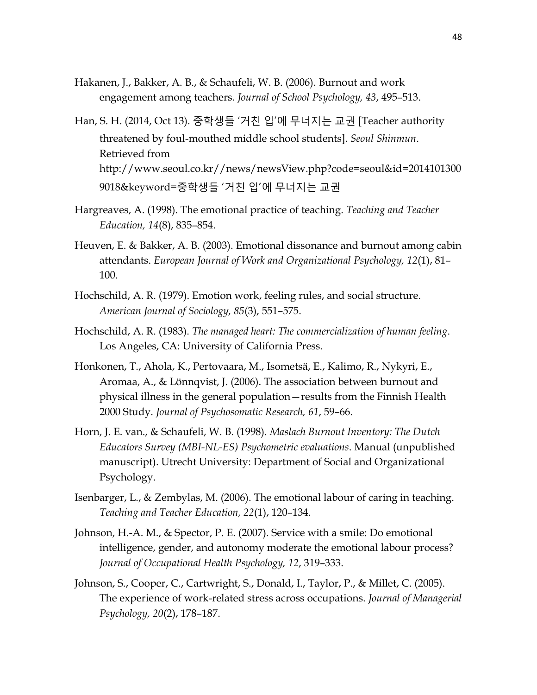- Hakanen, J., Bakker, A. B., & Schaufeli, W. B. (2006). Burnout and work engagement among teachers*. Journal of School Psychology, 43*, 495–513.
- Han, S. H. (2014, Oct 13). 중학생들 '거친 입'에 무너지는 교권 [Teacher authority threatened by foul-mouthed middle school students]. *Seoul Shinmun*. Retrieved from http://www.seoul.co.kr//news/newsView.php?code=seoul&id=2014101300 9018&keyword=중학생들 '거친 입'에 무너지는 교권
- Hargreaves, A. (1998). The emotional practice of teaching. *Teaching and Teacher Education, 14*(8), 835–854.
- Heuven, E. & Bakker, A. B. (2003). Emotional dissonance and burnout among cabin attendants. *European Journal of Work and Organizational Psychology, 12*(1), 81– 100.
- Hochschild, A. R. (1979). Emotion work, feeling rules, and social structure. *American Journal of Sociology, 85*(3), 551–575.
- Hochschild, A. R. (1983). *The managed heart: The commercialization of human feeling*. Los Angeles, CA: University of California Press.
- Honkonen, T., Ahola, K., Pertovaara, M., Isometsä, E., Kalimo, R., Nykyri, E., Aromaa, A., & Lönnqvist, J. (2006). The association between burnout and physical illness in the general population—results from the Finnish Health 2000 Study. *Journal of Psychosomatic Research, 61*, 59–66.
- Horn, J. E. van., & Schaufeli, W. B. (1998). *Maslach Burnout Inventory: The Dutch Educators Survey (MBI-NL-ES) Psychometric evaluations*. Manual (unpublished manuscript). Utrecht University: Department of Social and Organizational Psychology.
- Isenbarger, L., & Zembylas, M. (2006). The emotional labour of caring in teaching. *Teaching and Teacher Education, 22*(1), 120–134.
- Johnson, H.-A. M., & Spector, P. E. (2007). Service with a smile: Do emotional intelligence, gender, and autonomy moderate the emotional labour process? *Journal of Occupational Health Psychology, 12*, 319–333.
- Johnson, S., Cooper, C., Cartwright, S., Donald, I., Taylor, P., & Millet, C. (2005). The experience of work-related stress across occupations. *Journal of Managerial Psychology, 20*(2), 178–187.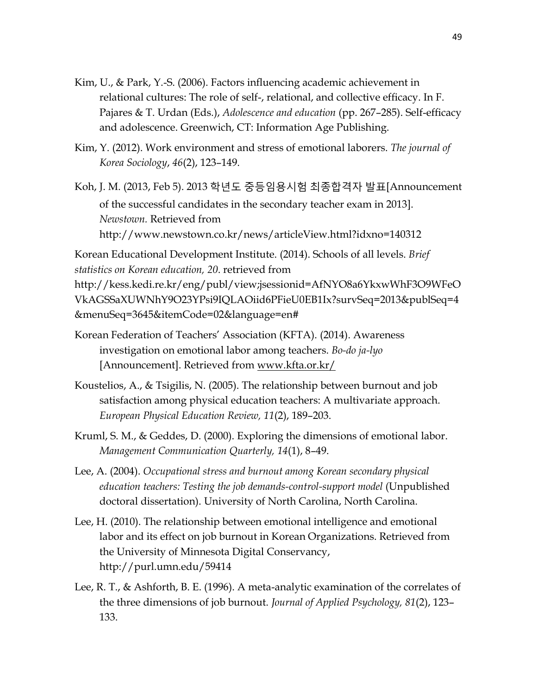- Kim, U., & Park, Y.-S. (2006). Factors influencing academic achievement in relational cultures: The role of self-, relational, and collective efficacy. In F. Pajares & T. Urdan (Eds.), *Adolescence and education* (pp. 267–285). Self-efficacy and adolescence. Greenwich, CT: Information Age Publishing.
- Kim, Y. (2012). Work environment and stress of emotional laborers. *The journal of Korea Sociology*, *46*(2), 123–149.

Koh, J. M. (2013, Feb 5). 2013 학년도 중등임용시험 최종합격자 발표[Announcement of the successful candidates in the secondary teacher exam in 2013]. *Newstown.* Retrieved from http://www.newstown.co.kr/news/articleView.html?idxno=140312

Korean Educational Development Institute. (2014). Schools of all levels. *Brief statistics on Korean education, 20*. retrieved from http://kess.kedi.re.kr/eng/publ/view;jsessionid=AfNYO8a6YkxwWhF3O9WFeO VkAGSSaXUWNhY9O23YPsi9IQLAOiid6PFieU0EB1Ix?survSeq=2013&publSeq=4 &menuSeq=3645&itemCode=02&language=en#

- Korean Federation of Teachers' Association (KFTA). (2014). Awareness investigation on emotional labor among teachers. *Bo-do ja-lyo* [Announcement]. Retrieved from [www.kfta.or.kr/](http://www.kfta.or.kr/)
- Koustelios, A., & Tsigilis, N. (2005). The relationship between burnout and job satisfaction among physical education teachers: A multivariate approach. *European Physical Education Review, 11*(2), 189–203.
- Kruml, S. M., & Geddes, D. (2000). Exploring the dimensions of emotional labor. *Management Communication Quarterly, 14*(1), 8–49.
- Lee, A. (2004). *Occupational stress and burnout among Korean secondary physical education teachers: Testing the job demands-control-support model* (Unpublished doctoral dissertation). University of North Carolina, North Carolina.
- Lee, H. (2010). The relationship between emotional intelligence and emotional labor and its effect on job burnout in Korean Organizations. Retrieved from the University of Minnesota Digital Conservancy, http://purl.umn.edu/59414
- Lee, R. T., & Ashforth, B. E. (1996). A meta-analytic examination of the correlates of the three dimensions of job burnout. *Journal of Applied Psychology, 81*(2), 123– 133.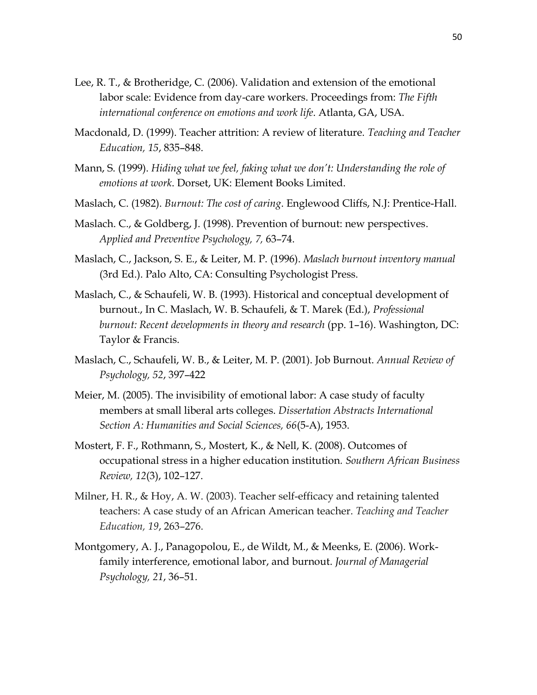- Lee, R. T., & Brotheridge, C. (2006). Validation and extension of the emotional labor scale: Evidence from day-care workers. Proceedings from: *The Fifth international conference on emotions and work life*. Atlanta, GA, USA.
- Macdonald, D. (1999). Teacher attrition: A review of literature. *Teaching and Teacher Education, 15*, 835–848.
- Mann, S. (1999). *Hiding what we feel, faking what we don't: Understanding the role of emotions at work*. Dorset, UK: Element Books Limited.
- Maslach, C. (1982). *Burnout: The cost of caring*. Englewood Cliffs, N.J: Prentice-Hall.
- Maslach. C., & Goldberg, J. (1998). Prevention of burnout: new perspectives. *Applied and Preventive Psychology, 7,* 63–74.
- Maslach, C., Jackson, S. E., & Leiter, M. P. (1996). *Maslach burnout inventory manual* (3rd Ed.). Palo Alto, CA: Consulting Psychologist Press.
- Maslach, C., & Schaufeli, W. B. (1993). Historical and conceptual development of burnout., In C. Maslach, W. B. Schaufeli, & T. Marek (Ed.), *Professional burnout: Recent developments in theory and research* (pp. 1–16). Washington, DC: Taylor & Francis.
- Maslach, C., Schaufeli, W. B., & Leiter, M. P. (2001). Job Burnout. *Annual Review of Psychology, 52*, 397–422
- Meier, M. (2005). The invisibility of emotional labor: A case study of faculty members at small liberal arts colleges. *Dissertation Abstracts International Section A: Humanities and Social Sciences, 66*(5-A), 1953.
- Mostert, F. F., Rothmann, S., Mostert, K., & Nell, K. (2008). Outcomes of occupational stress in a higher education institution*. Southern African Business Review, 12*(3), 102–127.
- Milner, H. R., & Hoy, A. W. (2003). Teacher self-efficacy and retaining talented teachers: A case study of an African American teacher. *Teaching and Teacher Education, 19*, 263–276.
- Montgomery, A. J., Panagopolou, E., de Wildt, M., & Meenks, E. (2006). Workfamily interference, emotional labor, and burnout. *Journal of Managerial Psychology, 21*, 36–51.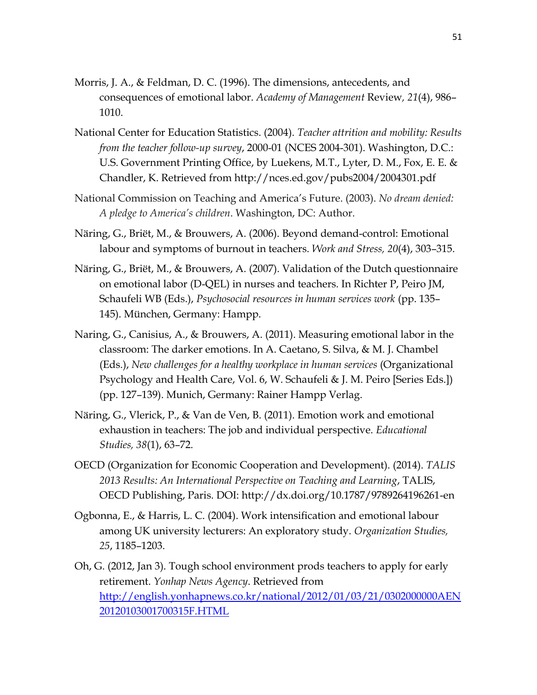- Morris, J. A., & Feldman, D. C. (1996). The dimensions, antecedents, and consequences of emotional labor. *Academy of Management* Review*, 21*(4), 986– 1010.
- National Center for Education Statistics. (2004). *Teacher attrition and mobility: Results from the teacher follow-up survey*, 2000-01 (NCES 2004-301). Washington, D.C.: U.S. Government Printing Office, by Luekens, M.T., Lyter, D. M., Fox, E. E. & Chandler, K. Retrieved from http://nces.ed.gov/pubs2004/2004301.pdf
- National Commission on Teaching and America's Future. (2003). *No dream denied: A pledge to America's children*. Washington, DC: Author.
- Näring, G., Briët, M., & Brouwers, A. (2006). Beyond demand-control: Emotional labour and symptoms of burnout in teachers. *Work and Stress, 20*(4), 303–315.
- Näring, G., Briët, M., & Brouwers, A. (2007). Validation of the Dutch questionnaire on emotional labor (D-QEL) in nurses and teachers. In Richter P, Peiro JM, Schaufeli WB (Eds.), *Psychosocial resources in human services work* (pp. 135– 145). München, Germany: Hampp.
- Naring, G., Canisius, A., & Brouwers, A. (2011). Measuring emotional labor in the classroom: The darker emotions. In A. Caetano, S. Silva, & M. J. Chambel (Eds.), *New challenges for a healthy workplace in human services* (Organizational Psychology and Health Care, Vol. 6, W. Schaufeli & J. M. Peiro [Series Eds.]) (pp. 127–139). Munich, Germany: Rainer Hampp Verlag.
- Näring, G., Vlerick, P., & Van de Ven, B. (2011). Emotion work and emotional exhaustion in teachers: The job and individual perspective. *Educational Studies, 38*(1), 63–72.
- OECD (Organization for Economic Cooperation and Development). (2014). *TALIS 2013 Results: An International Perspective on Teaching and Learning*, TALIS, OECD Publishing, Paris. DOI: http://dx.doi.org/10.1787/9789264196261-en
- Ogbonna, E., & Harris, L. C. (2004). Work intensification and emotional labour among UK university lecturers: An exploratory study. *Organization Studies, 25*, 1185–1203.
- Oh, G. (2012, Jan 3). Tough school environment prods teachers to apply for early retirement. *Yonhap News Agency*. Retrieved from [http://english.yonhapnews.co.kr/national/2012/01/03/21/0302000000AEN](http://english.yonhapnews.co.kr/national/2012/01/03/21/0302000000AEN20120103001700315F.HTML) [20120103001700315F.HTML](http://english.yonhapnews.co.kr/national/2012/01/03/21/0302000000AEN20120103001700315F.HTML)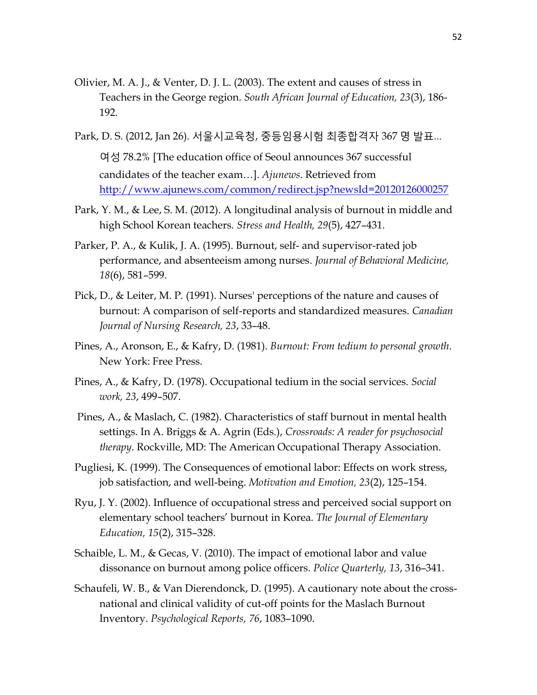- Olivier, M. A. J., & Venter, D. J. L. (2003). The extent and causes of stress in Teachers in the George region. *South African Journal of Education, 23*(3), 186- 192.
- Park, D. S. (2012, Jan 26). 서울시교육청, 중등임용시험 최종합격자 367 명 발표… 여성 78.2% [The education office of Seoul announces 367 successful candidates of the teacher exam…]. *Ajunews*. Retrieved from <http://www.ajunews.com/common/redirect.jsp?newsId=20120126000257>
- Park, Y. M., & Lee, S. M. (2012). A longitudinal analysis of burnout in middle and high School Korean teachers. *Stress and Health, 29*(5), 427–431.
- Parker, P. A., & Kulik, J. A. (1995). Burnout, self- and supervisor-rated job performance, and absenteeism among nurses. *Journal of Behavioral Medicine, 18*(6), 581–599.
- Pick, D., & Leiter, M. P. (1991). Nurses' perceptions of the nature and causes of burnout: A comparison of self-reports and standardized measures. *Canadian Journal of Nursing Research, 23*, 33–48.
- Pines, A., Aronson, E., & Kafry, D. (1981). *Burnout: From tedium to personal growth*. New York: Free Press.
- Pines, A., & Kafry, D. (1978). Occupational tedium in the social services. *Social work, 23*, 499–507.
- Pines, A., & Maslach, C. (1982). Characteristics of staff burnout in mental health settings. In A. Briggs & A. Agrin (Eds.), *Crossroads: A reader for psychosocial therapy*. Rockville, MD: The American Occupational Therapy Association.
- Pugliesi, K. (1999). The Consequences of emotional labor: Effects on work stress, job satisfaction, and well-being. *Motivation and Emotion, 23*(2), 125–154.
- Ryu, J. Y. (2002). Influence of occupational stress and perceived social support on elementary school teachers' burnout in Korea. *The Journal of Elementary Education, 15*(2), 315–328.
- Schaible, L. M., & Gecas, V. (2010). The impact of emotional labor and value dissonance on burnout among police officers. *Police Quarterly, 13*, 316–341.
- Schaufeli, W. B., & Van Dierendonck, D. (1995). A cautionary note about the crossnational and clinical validity of cut-off points for the Maslach Burnout Inventory. *Psychological Reports, 76*, 1083–1090.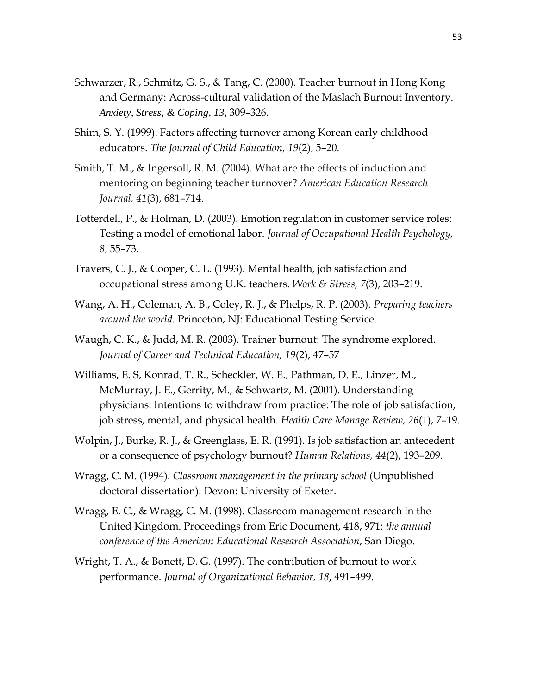- Schwarzer, R., Schmitz, G. S., & Tang, C. (2000). Teacher burnout in Hong Kong and Germany: Across-cultural validation of the Maslach Burnout Inventory. *Anxiety, Stress, & Coping, 13,* 309–326.
- Shim, S. Y. (1999). Factors affecting turnover among Korean early childhood educators. *The Journal of Child Education, 19*(2), 5–20.
- Smith, T. M., & Ingersoll, R. M. (2004). What are the effects of induction and mentoring on beginning teacher turnover? *American Education Research Journal, 41*(3), 681–714.
- Totterdell, P., & Holman, D. (2003). Emotion regulation in customer service roles: Testing a model of emotional labor. *Journal of Occupational Health Psychology, 8*, 55–73.
- Travers, C. J., & Cooper, C. L. (1993). Mental health, job satisfaction and occupational stress among U.K. teachers. *Work & Stress, 7*(3), 203–219.
- Wang, A. H., Coleman, A. B., Coley, R. J., & Phelps, R. P. (2003). *Preparing teachers around the world.* Princeton, NJ: Educational Testing Service.
- Waugh, C. K., & Judd, M. R. (2003). Trainer burnout: The syndrome explored*. Journal of Career and Technical Education, 19*(2), 47–57
- Williams, E. S, Konrad, T. R., Scheckler, W. E., Pathman, D. E., Linzer, M., McMurray, J. E., Gerrity, M., & Schwartz, M. (2001). Understanding physicians: Intentions to withdraw from practice: The role of job satisfaction, job stress, mental, and physical health. *Health Care Manage Review, 26*(1), 7–19.
- Wolpin, J., Burke, R. J., & Greenglass, E. R. (1991). Is job satisfaction an antecedent or a consequence of psychology burnout? *Human Relations, 44*(2), 193–209.
- Wragg, C. M. (1994). *Classroom management in the primary school* (Unpublished doctoral dissertation). Devon: University of Exeter.
- Wragg, E. C., & Wragg, C. M. (1998). Classroom management research in the United Kingdom. Proceedings from Eric Document, 418, 971: *the annual conference of the American Educational Research Association*, San Diego.
- Wright, T. A., & Bonett, D. G. (1997). The contribution of burnout to work performance. *Journal of Organizational Behavior, 18***,** 491–499.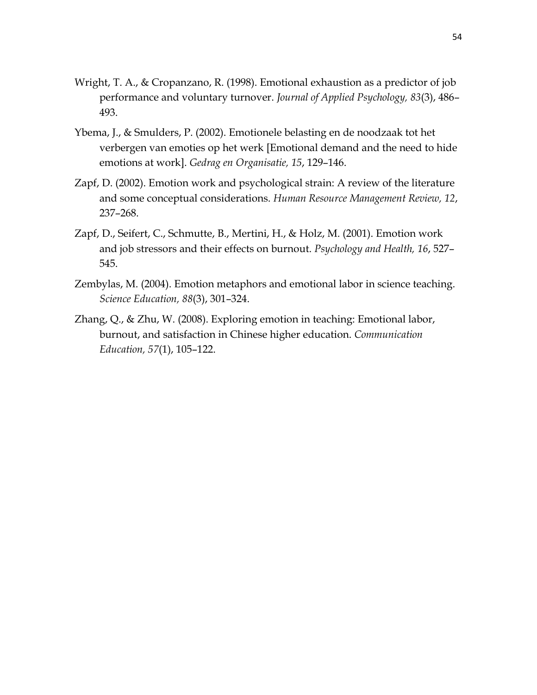- Wright, T. A., & Cropanzano, R. (1998). Emotional exhaustion as a predictor of job performance and voluntary turnover. *Journal of Applied Psychology, 83*(3), 486– 493.
- Ybema, J., & Smulders, P. (2002). Emotionele belasting en de noodzaak tot het verbergen van emoties op het werk [Emotional demand and the need to hide emotions at work]. *Gedrag en Organisatie, 15*, 129–146.
- Zapf, D. (2002). Emotion work and psychological strain: A review of the literature and some conceptual considerations. *Human Resource Management Review, 12*, 237–268.
- Zapf, D., Seifert, C., Schmutte, B., Mertini, H., & Holz, M. (2001). Emotion work and job stressors and their effects on burnout. *Psychology and Health, 16*, 527– 545.
- Zembylas, M. (2004). Emotion metaphors and emotional labor in science teaching. *Science Education, 88*(3), 301–324.
- Zhang, Q., & Zhu, W. (2008). Exploring emotion in teaching: Emotional labor, burnout, and satisfaction in Chinese higher education. *Communication Education, 57*(1), 105–122.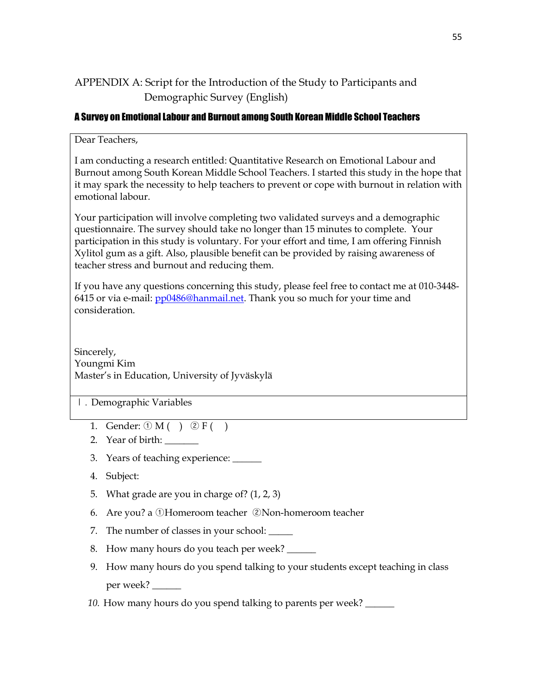## APPENDIX A: Script for the Introduction of the Study to Participants and Demographic Survey (English)

#### A Survey on EmotionalLabour and Burnout among South Korean Middle School Teachers

Dear Teachers,

I am conducting a research entitled: Quantitative Research on Emotional Labour and Burnout among South Korean Middle School Teachers. I started this study in the hope that it may spark the necessity to help teachers to prevent or cope with burnout in relation with emotional labour.

Your participation will involve completing two validated surveys and a demographic questionnaire. The survey should take no longer than 15 minutes to complete. Your participation in this study is voluntary. For your effort and time, I am offering Finnish Xylitol gum as a gift. Also, plausible benefit can be provided by raising awareness of teacher stress and burnout and reducing them.

If you have any questions concerning this study, please feel free to contact me at 010-3448 6415 or via e-mail: [pp0486@hanmail.net.](mailto:pp0486@hanmail.net) Thank you so much for your time and consideration.

Sincerely, Youngmi Kim Master's in Education, University of Jyväskylä

- Ⅰ. Demographic Variables
	- 1. Gender:  $(1) M() (2) F()$
	- 2. Year of birth:
	- 3. Years of teaching experience: \_\_\_\_\_\_
	- 4. Subject:
	- 5. What grade are you in charge of? (1, 2, 3)
	- 6. Are you? a ①Homeroom teacher ②Non-homeroom teacher
	- 7. The number of classes in your school: \_\_\_\_\_
	- 8. How many hours do you teach per week?
	- 9. How many hours do you spend talking to your students except teaching in class per week? \_\_\_\_\_\_
	- *10.* How many hours do you spend talking to parents per week? \_\_\_\_\_\_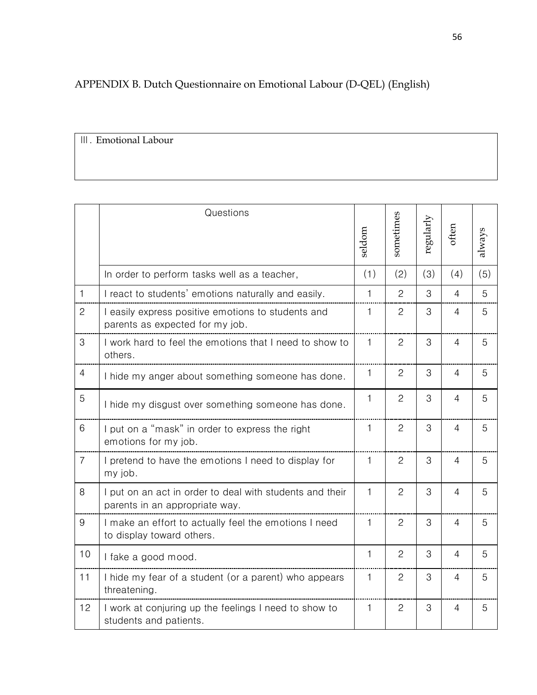# APPENDIX B. Dutch Questionnaire on Emotional Labour (D-QEL) (English)

Ⅲ. Emotional Labour

|                | Questions                                                                                  | seldom       | sometimes      | regularly | often          | always |
|----------------|--------------------------------------------------------------------------------------------|--------------|----------------|-----------|----------------|--------|
|                | In order to perform tasks well as a teacher,                                               | (1)          | (2)            | (3)       | (4)            | (5)    |
| $\mathbf{1}$   | I react to students' emotions naturally and easily.                                        | 1            | $\overline{2}$ | 3         | $\overline{4}$ | 5      |
| $\mathbf{2}$   | I easily express positive emotions to students and<br>parents as expected for my job.      | 1            | $\overline{2}$ | 3         | $\overline{4}$ | 5      |
| 3              | I work hard to feel the emotions that I need to show to<br>others.                         | $\mathbf{1}$ | $\overline{c}$ | 3         | 4              | 5      |
| $\overline{4}$ | I hide my anger about something someone has done.                                          | 1            | $\overline{2}$ | 3         | $\overline{4}$ | 5      |
| 5              | I hide my disgust over something someone has done.                                         | 1            | $\overline{2}$ | 3         | $\overline{4}$ | 5      |
| 6              | I put on a "mask" in order to express the right<br>emotions for my job.                    | $\mathbf{1}$ | $\mathbf{2}$   | 3         | $\overline{4}$ | 5      |
| $\overline{7}$ | I pretend to have the emotions I need to display for<br>my job.                            | 1            | $\overline{c}$ | 3         | $\overline{4}$ | 5      |
| 8              | I put on an act in order to deal with students and their<br>parents in an appropriate way. | $\mathbf{1}$ | $\overline{2}$ | 3         | $\overline{4}$ | 5      |
| 9              | I make an effort to actually feel the emotions I need<br>to display toward others.         | 1            | $\overline{2}$ | 3         | $\overline{4}$ | 5      |
| 10             | I fake a good mood.                                                                        | $\mathbf{1}$ | $\overline{2}$ | 3         | $\overline{4}$ | 5      |
| 11             | I hide my fear of a student (or a parent) who appears<br>threatening.                      | $\mathbf{1}$ | $\mathbf{2}$   | 3         | $\overline{4}$ | 5      |
| 12             | I work at conjuring up the feelings I need to show to<br>students and patients.            | 1            | $\overline{c}$ | 3         | $\overline{4}$ | 5      |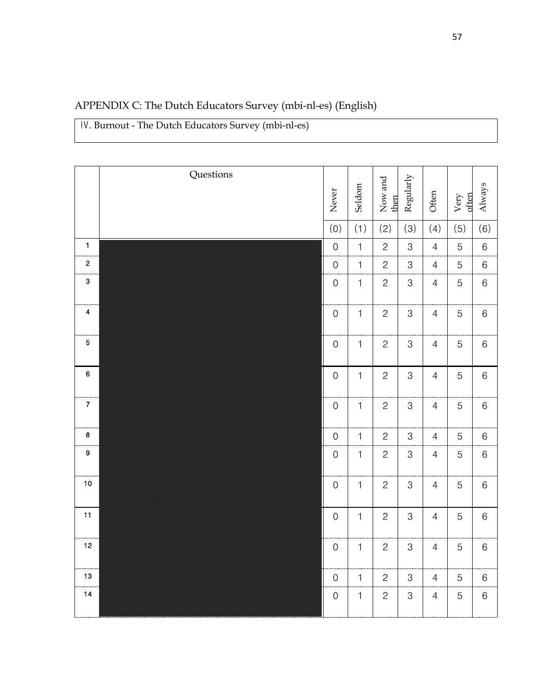| APPENDIX C: The Dutch Educators Survey (mbi-nl-es) (English) |  |  |  |
|--------------------------------------------------------------|--|--|--|
|--------------------------------------------------------------|--|--|--|

. Burnout - The Dutch Educators Survey (mbi-nl-es)

|                  | Questions | Never            | Seldom       | Now and<br>then | Regularly                 | Often          | often<br>Very | Always  |
|------------------|-----------|------------------|--------------|-----------------|---------------------------|----------------|---------------|---------|
|                  |           | (0)              | (1)          | (2)             | (3)                       | (4)            | (5)           | (6)     |
| $\mathbf{1}$     |           | $\boldsymbol{0}$ | $\mathbf{1}$ | $\overline{c}$  | 3                         | $\overline{4}$ | 5             | $\,6$   |
| $\mathbf 2$      |           | $\mbox{O}$       | $\mathbf{1}$ | $\overline{c}$  | $\,3$                     | $\overline{4}$ | 5             | $\,6$   |
| $\mathbf{3}$     |           | $\mathbf 0$      | $\mathbf{1}$ | $\mathbf{2}$    | 3                         | $\overline{4}$ | 5             | $\,6$   |
| 4                |           | $\mathbf 0$      | $\mathbf{1}$ | $\mathbf{c}$    | 3                         | $\overline{4}$ | 5             | $\,6$   |
| $\overline{5}$   |           | $\mbox{O}$       | $\mathbf{1}$ | $\mathbf{2}$    | 3                         | $\overline{4}$ | 5             | $\,6\,$ |
| $\boldsymbol{6}$ |           | $\mathbf 0$      | $\mathbf{1}$ | $\overline{c}$  | 3                         | $\overline{4}$ | 5             | $\,6\,$ |
| $\boldsymbol{7}$ |           | $\mbox{O}$       | $\mathbf{1}$ | $\mathbf{2}$    | $\,3$                     | $\overline{4}$ | 5             | $\,6$   |
| $\bf8$           |           | $\mbox{O}$       | $\mathbf{1}$ | $\mathbf{2}$    | 3                         | $\overline{4}$ | 5             | $6\,$   |
| 9                |           | $\mbox{O}$       | $\mathbf{1}$ | $\mathbf{2}$    | $\,3$                     | $\overline{4}$ | $\mathbf 5$   | $\,6$   |
| $10\,$           |           | $\mbox{O}$       | $\mathbf{1}$ | $\mathbf{2}$    | $\mbox{3}$                | $\overline{4}$ | $\mathbf 5$   | $\,6$   |
| 11               |           | $\mbox{O}$       | $\mathbf{1}$ | $\overline{c}$  | $\,3$                     | $\overline{4}$ | 5             | $\,6$   |
| 12               |           | $\mbox{O}$       | $\mathbf{1}$ | $\mathbf{2}$    | $\ensuremath{\mathsf{3}}$ | $\overline{4}$ | 5             | $\,6$   |
| $13$             |           | $\boldsymbol{0}$ | $\mathbf{1}$ | $\overline{c}$  | 3                         | $\overline{4}$ | 5             | $6\,$   |
| $14$             |           | $\mbox{O}$       | $\mathbf{1}$ | $\mathbf{2}$    | $\,3$                     | $\overline{4}$ | 5             | $\,6$   |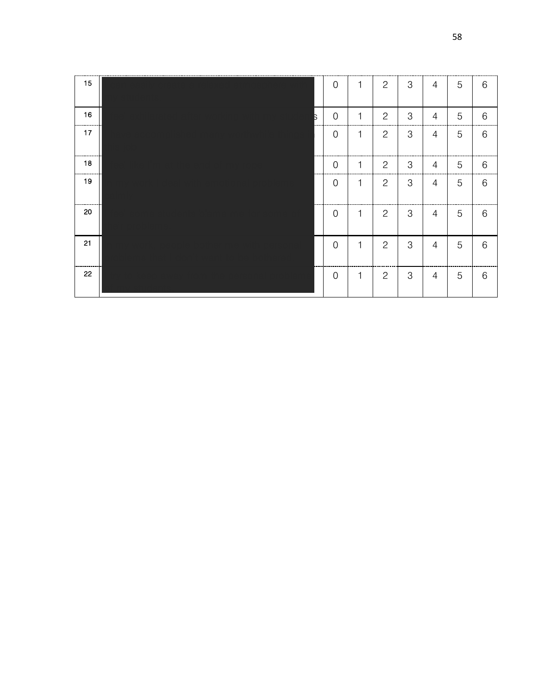| 15 |   | $\boldsymbol{0}$ | 1 | $\mathbf{2}$          | 3              | $\overline{4}$ | 5 | 6     |
|----|---|------------------|---|-----------------------|----------------|----------------|---|-------|
| 16 | Б | $\mathbf 0$      | 1 | $\mathbf{2}$          | $\mathcal{S}$  | $\overline{4}$ | 5 | 6     |
| 17 |   | $\boldsymbol{0}$ | 1 | $\mathbf{2}$          | $\mathfrak{S}$ | $\overline{4}$ | 5 | $6\,$ |
| 18 |   | $\boldsymbol{0}$ | 1 | $\mathbf{2}$          | 3              | $\overline{4}$ | 5 | 6     |
| 19 |   | $\mathbf 0$      | 1 | $\mathbf{2}$          | $\mathfrak{S}$ | $\overline{4}$ | 5 | 6     |
| 20 |   | $\mathbf 0$      | 1 | $\mathbf{2}$          | 3              | $\overline{4}$ | 5 | 6     |
| 21 |   | $\mathbf 0$      | 1 | $\mathbf{2}$          | $\mathfrak{S}$ | $\overline{4}$ | 5 | 6     |
| 22 |   | $\mathbf 0$      | 1 | $\mathbf{2}^{\prime}$ | $\mathfrak{S}$ | 4              | 5 | 6     |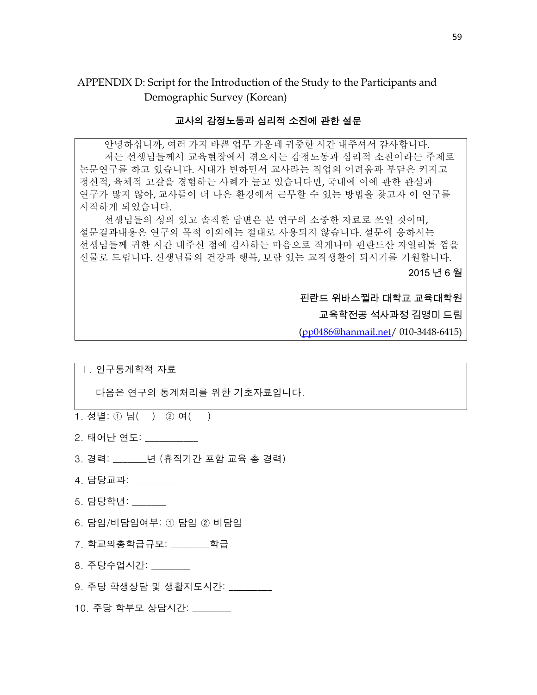APPENDIX D: Script for the Introduction of the Study to the Participants and

Demographic Survey (Korean)

#### 교사의 감정노동과 심리적 소진에 관한 설문

안녕하십니까, 여러 가지 바쁜 업무 가운데 귀중한 시간 내주셔서 감사합니다. 저는 선생님들께서 교육현장에서 겪으시는 감정노동과 심리적 소진이라는 주제로 논문연구를 하고 있습니다. 시대가 변하면서 교사라는 직업의 어려움과 부담은 커지고 정신적, 육체적 고갈을 경험하는 사례가 늘고 있습니다만, 국내에 이에 관한 관심과 연구가 많지 않아, 교사들이 더 나은 환경에서 근무할 수 있는 방법을 찾고자 이 연구를 시작하게 되었습니다.

선생님들의 성의 있고 솔직한 답변은 본 연구의 소중한 자료로 쓰일 것이며, 설문결과내용은 연구의 목적 이외에는 절대로 사용되지 않습니다. 설문에 응하시는 선생님들께 귀한 시간 내주신 점에 감사하는 마음으로 작게나마 핀란드산 자일리톨 껌을 선물로 드립니다. 선생님들의 건강과 행복, 보람 있는 교직생활이 되시기를 기원합니다.

2015 년 6 월

핀란드 위바스뀔라 대학교 교육대학원

교육학전공 석사과정 김영미 드림

([pp0486@hanmail.net/](mailto:pp0486@hanmail.net) 010-3448-6415)

| 인구통계학적 자료 |  |
|-----------|--|
|-----------|--|

다음은 연구의 통계처리를 위한 기초자료입니다.

1. 성별: ① 남( ) ② 여( )

2. 태어난 연도: \_\_\_\_\_\_\_\_\_\_\_

3. 경력: \_\_\_\_\_\_\_년 (휴직기간 포함 교육 총 경력)

4. 담당교과: \_\_\_\_\_\_\_\_\_

5. 담당학년: \_\_\_\_\_\_\_

6. 담임/비담임여부: ① 담임 ② 비담임

7. 학교의총학급규모: \_\_\_\_\_\_\_\_학급

8. 주당수업시간:

9. 주당 학생상담 및 생활지도시간: \_\_\_\_\_\_\_\_\_

10. 주당 학부모 상담시간: \_\_\_\_\_\_\_\_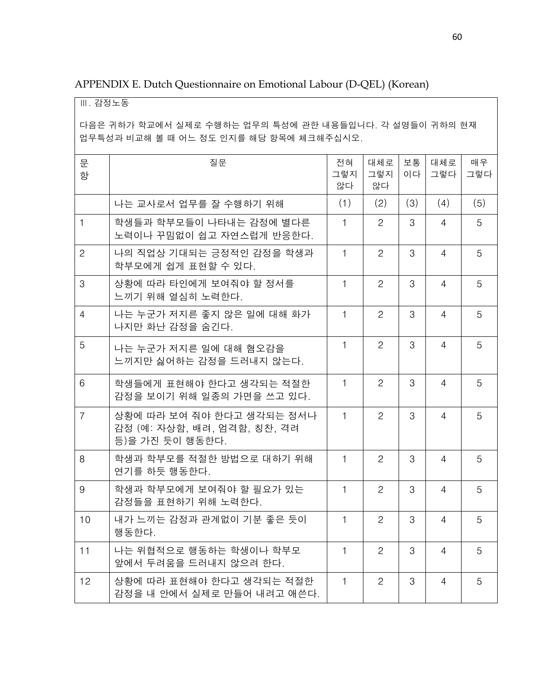| APPENDIX E. Dutch Questionnaire on Emotional Labour (D-QEL) (Korean) |  |  |  |
|----------------------------------------------------------------------|--|--|--|
|----------------------------------------------------------------------|--|--|--|

Ⅲ. 감정노동

다음은 귀하가 학교에서 실제로 수행하는 업무의 특성에 관한 내용들입니다. 각 설명들이 귀하의 현재 업무특성과 비교해 볼 때 어느 정도 인지를 해당 항목에 체크해주십시오.

| 문<br>항         | 질문                                                                          | 전혀<br>그렇지<br>않다 | 대체로<br>그렇지<br>않다      | 보통<br>이다 | 대체로<br>그렇다     | 매우<br>그렇다 |
|----------------|-----------------------------------------------------------------------------|-----------------|-----------------------|----------|----------------|-----------|
|                | 나는 교사로서 업무를 잘 수행하기 위해                                                       | (1)             | (2)                   | (3)      | (4)            | (5)       |
| $\mathbf{1}$   | 학생들과 학부모들이 나타내는 감정에 별다른<br>노력이나 꾸밈없이 쉽고 자연스럽게 반응한다.                         | 1               | $\overline{2}$        | 3        | $\overline{4}$ | 5         |
| $\mathbf{2}$   | 나의 직업상 기대되는 긍정적인 감정을 학생과<br>학부모에게 쉽게 표현할 수 있다.                              | 1               | $\overline{c}$        | 3        | $\overline{4}$ | 5         |
| 3              | 상황에 따라 타인에게 보여줘야 할 정서를<br>느끼기 위해 열심히 노력한다.                                  | 1               | $\overline{c}$        | 3        | $\overline{4}$ | 5         |
| 4              | 나는 누군가 저지른 좋지 않은 일에 대해 화가<br>나지만 화난 감정을 숨긴다.                                | 1               | 2                     | 3        | 4              | 5         |
| 5              | 나는 누군가 저지른 일에 대해 혐오감을<br>느끼지만 싫어하는 감정을 드러내지 않는다.                            | 1               | $\mathbf{2}^{\prime}$ | 3        | 4              | 5         |
| 6              | 학생들에게 표현해야 한다고 생각되는 적절한<br>감정을 보이기 위해 일종의 가면을 쓰고 있다.                        | 1               | $\overline{c}$        | 3        | $\overline{4}$ | 5         |
| $\overline{7}$ | 상황에 따라 보여 줘야 한다고 생각되는 정서나<br>감정 (예: 자상함, 배려, 엄격함, 칭찬, 격려<br>등)을 가진 듯이 행동한다. | $\mathbf{1}$    | 2                     | 3        | $\overline{4}$ | 5         |
| 8              | 학생과 학부모를 적절한 방법으로 대하기 위해<br>연기를 하듯 행동한다.                                    | $\mathbf{1}$    | $\overline{c}$        | 3        | $\overline{4}$ | 5         |
| 9              | 학생과 학부모에게 보여줘야 할 필요가 있는<br>감정들을 표현하기 위해 노력한다.                               | $\mathbf{1}$    | $\overline{c}$        | 3        | $\overline{4}$ | 5         |
| 10             | 내가 느끼는 감정과 관계없이 기분 좋은 듯이<br>행동한다.                                           | 1               | $\overline{c}$        | 3        | 4              | 5         |
| 11             | 나는 위협적으로 행동하는 학생이나 학부모<br>앞에서 두려움을 드러내지 않으려 한다.                             | 1               | 2                     | 3        | 4              | 5         |
| 12             | 상황에 따라 표현해야 한다고 생각되는 적절한<br>감정을 내 안에서 실제로 만들어 내려고 애쓴다.                      | 1               | $\mathbf{2}$          | 3        | 4              | 5         |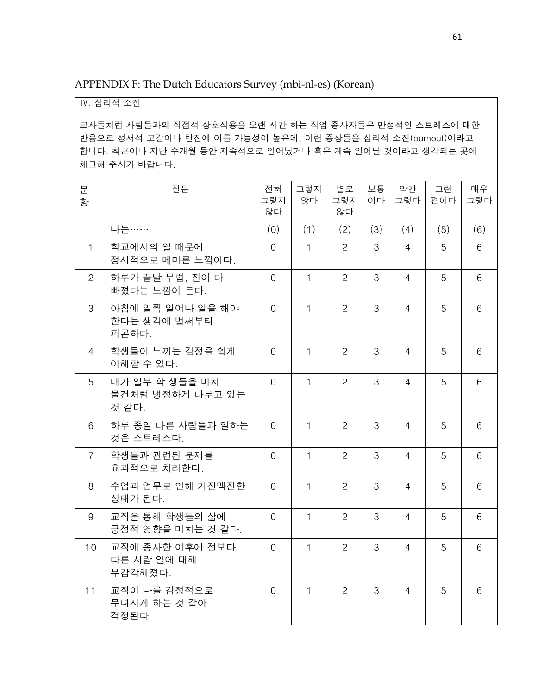APPENDIX F: The Dutch Educators Survey (mbi-nl-es) (Korean)

#### Ⅳ. 심리적 소진

교사들처럼 사람들과의 직접적 상호작용을 오랜 시간 하는 직업 종사자들은 만성적인 스트레스에 대한 반응으로 정서적 고갈이나 탈진에 이를 가능성이 높은데, 이런 증상들을 심리적 소진(burnout)이라고 합니다. 최근이나 지난 수개월 동안 지속적으로 일어났거나 혹은 계속 일어날 것이라고 생각되는 곳에 체크해 주시기 바랍니다.

| 문<br>항          | 질문                                          | 전혀<br>그렇지<br>않다 | 그렇지<br>않다    | 별로<br>그렇지<br>않다 | 보통<br>이다 | 약간<br>그렇다      | 그런<br>편이다 | 매우<br>그렇다 |
|-----------------|---------------------------------------------|-----------------|--------------|-----------------|----------|----------------|-----------|-----------|
|                 | 나는……                                        | (0)             | (1)          | (2)             | (3)      | (4)            | (5)       | (6)       |
| $\mathbf{1}$    | 학교에서의 일 때문에<br>정서적으로 메마른 느낌이다.              | $\overline{0}$  | 1            | $\overline{c}$  | 3        | 4              | 5         | 6         |
| $\overline{2}$  | 하루가 끝날 무렵, 진이 다<br>빠졌다는 느낌이 든다.             | $\Omega$        | $\mathbf{1}$ | $\overline{2}$  | 3        | 4              | 5         | 6         |
| 3               | 아침에 일찍 일어나 일을 해야<br>한다는 생각에 벌써부터<br>피곤하다.   | $\overline{0}$  | $\mathbf{1}$ | $\overline{2}$  | 3        | $\overline{4}$ | 5         | 6         |
| $\overline{4}$  | 학생들이 느끼는 감정을 쉽게<br>이해할 수 있다.                | $\overline{0}$  | $\mathbf{1}$ | $\overline{2}$  | 3        | $\overline{4}$ | 5         | 6         |
| 5               | 내가 일부 학 생들을 마치<br>물건처럼 냉정하게 다루고 있는<br>것 같다. | $\Omega$        | $\mathbf{1}$ | $\overline{2}$  | 3        | $\overline{4}$ | 5         | 6         |
| 6               | 하루 종일 다른 사람들과 일하는<br>것은 스트레스다.              | $\Omega$        | $\mathbf{1}$ | $\overline{c}$  | 3        | 4              | 5         | 6         |
| $\overline{7}$  | 학생들과 관련된 문제를<br>효과적으로 처리한다.                 | $\overline{0}$  | $\mathbf{1}$ | $\overline{c}$  | 3        | 4              | 5         | 6         |
| 8               | 수업과 업무로 인해 기진맥진한<br>상태가 된다.                 | $\Omega$        | $\mathbf{1}$ | $\overline{2}$  | 3        | $\overline{4}$ | 5         | 6         |
| 9               | 교직을 통해 학생들의 삶에<br>긍정적 영향을 미치는 것 같다.         | $\overline{0}$  | $\mathbf{1}$ | $\overline{c}$  | 3        | $\overline{4}$ | 5         | 6         |
| 10 <sup>°</sup> | 교직에 종사한 이후에 전보다<br>다른 사람 일에 대해<br>무감각해졌다.   | $\Omega$        | $\mathbf{1}$ | $\overline{2}$  | 3        | $\overline{4}$ | 5         | 6         |
| 11              | 교직이 나를 감정적으로<br>무뎌지게 하는 것 같아<br>걱정된다.       | $\Omega$        | $\mathbf{1}$ | $\overline{2}$  | 3        | $\overline{4}$ | 5         | 6         |